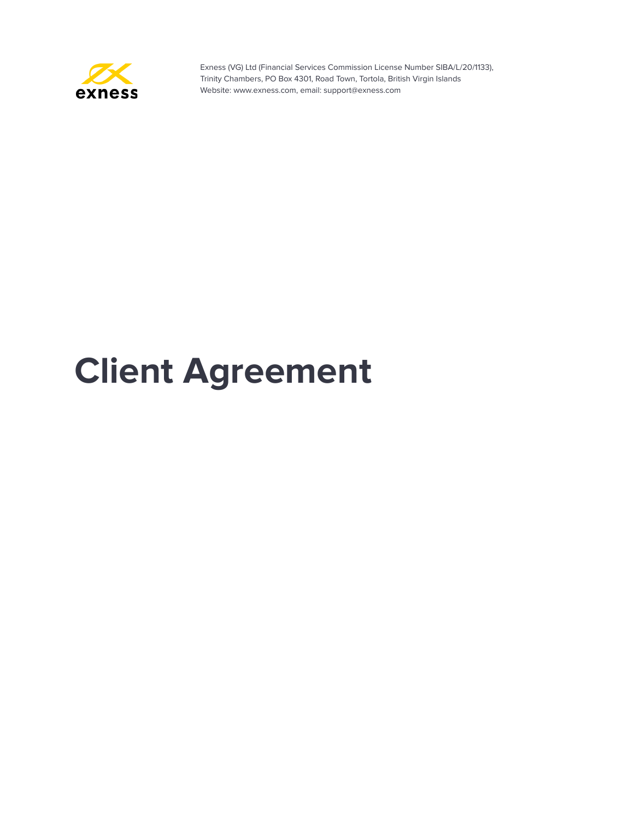

# **Client Agreement**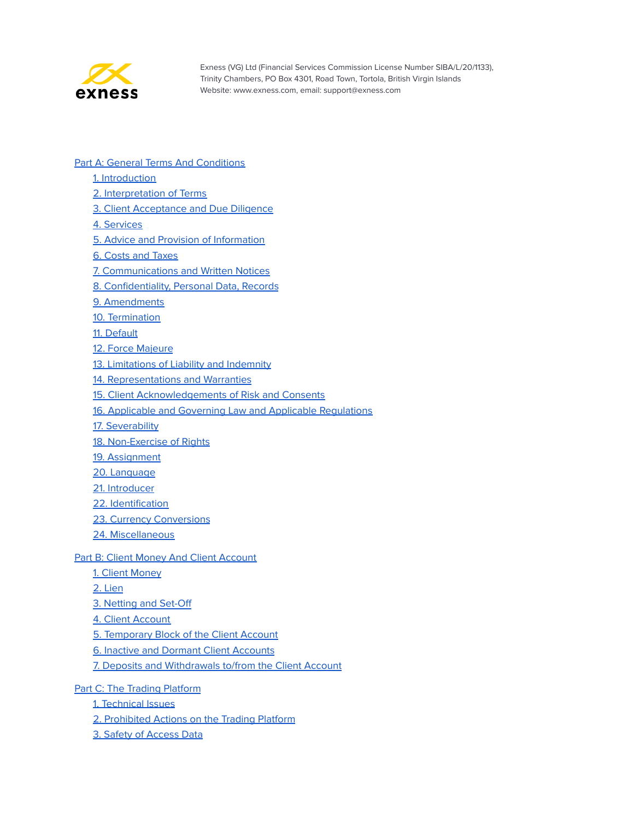

- **Part A: General Terms And [Conditions](#page-3-0)** 
	- 1. [Introduction](#page-3-1)
	- 2. [Interpretation](#page-3-2) of Terms
	- **3. Client [Acceptance](#page-11-0) and Due Diligence**
	- 4. [Services](#page-11-1)
	- 5. Advice and Provision of [Information](#page-12-0)
	- 6. Costs and [Taxes](#page-13-0)
	- 7. [Communications](#page-13-1) and Written Notices
	- 8. [Confidentiality,](#page-15-0) Personal Data, Records
	- 9. [Amendments](#page-17-0)
	- 10. [Termination](#page-17-1)
	- 11. [Default](#page-18-0)
	- 12. Force [Majeure](#page-20-0)
	- 13. [Limitations](#page-21-0) of Liability and Indemnity
	- 14. [Representations](#page-23-0) and Warranties
	- 15. Client [Acknowledgements](#page-24-0) of Risk and Consents
	- 16. Applicable and Governing Law and Applicable [Regulations](#page-25-0)
	- 17. [Severability](#page-25-1)
	- 18. [Non-Exercise](#page-25-2) of Rights
	- 19. [Assignment](#page-25-3)
	- 20. [Language](#page-26-0)
	- 21. [Introducer](#page-26-1)
	- 22. [Identification](#page-26-2)
	- 23. Currency [Conversions](#page-27-0)
	- 24. [Miscellaneous](#page-27-1)

#### **Part B: Client Money And Client [Account](#page-28-0)**

- 1. Client [Money](#page-28-1)
- 2. [Lien](#page-28-2)
- 3. [Netting](#page-29-0) and Set-Off
- 4. Client [Account](#page-29-1)
- 5. [Temporary](#page-29-2) Block of the Client Account
- 6. Inactive and Dormant Client [Accounts](#page-31-0)
- 7. Deposits and [Withdrawals](#page-31-1) to/from the Client Account
- Part C: The Trading [Platform](#page-35-0)
	- 1. [Technical](#page-35-1) Issues
	- 2. [Prohibited](#page-35-2) Actions on the Trading Platform
	- 3. Safety of [Access](#page-36-0) Data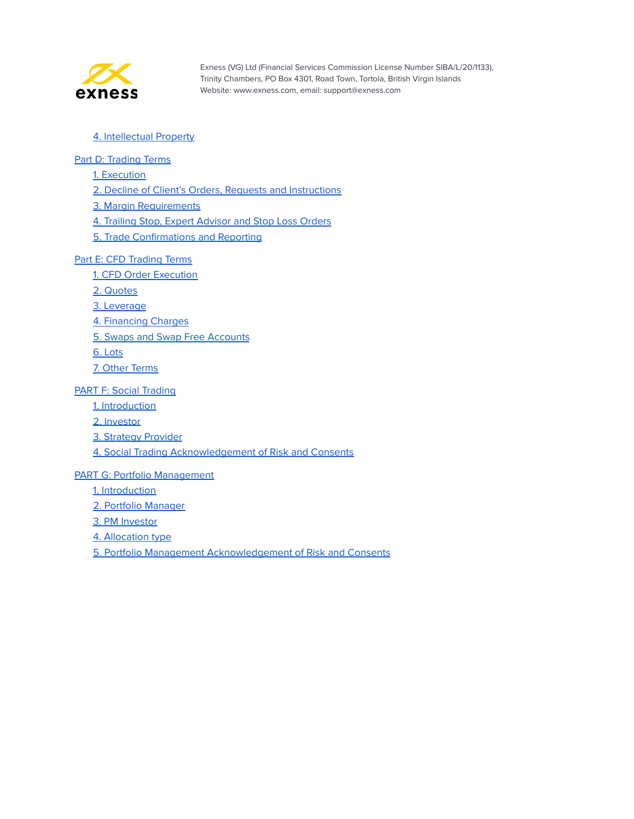

#### 4. [Intellectual](#page-37-0) Property

#### Part D: [Trading](#page-38-0) Terms

1. [Execution](#page-38-1)

2. Decline of Client's Orders, Requests and [Instructions](#page-38-2)

3. Margin [Requirements](#page-39-0)

4. Trailing Stop, Expert [Advisor](#page-40-0) and Stop Loss Orders

5. Trade [Confirmations](#page-41-0) and Reporting

#### Part E: CFD [Trading](#page-42-0) Terms

1. CFD Order [Execution](#page-42-1)

2. [Quotes](#page-42-2)

3. [Leverage](#page-43-0)

4. [Financing](#page-43-1) Charges

5. Swaps and Swap Free [Accounts](#page-43-2)

6. [Lots](#page-44-0)

7. Other [Terms](#page-45-0)

#### PART F: Social [Trading](#page-46-0)

1. [Introduction](#page-46-1)

2. [Investor](#page-46-2)

3. Strategy [Provider](#page-47-0)

4. Social Trading [Acknowledgement](#page-49-0) of Risk and Consents

#### PART G: Portfolio [Management](#page-50-0)

1. [Introduction](#page-50-1)

2. Portfolio [Manager](#page-50-2)

3. PM [Investor](#page-54-0)

4. [Allocation](#page-56-0) type

5. Portfolio Management [Acknowledgement](#page-57-0) of Risk and Consents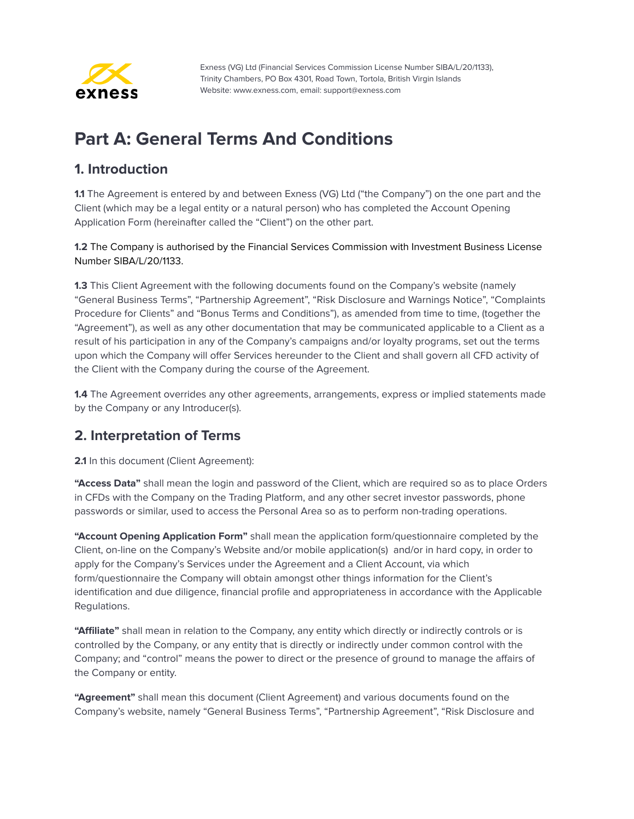

# <span id="page-3-0"></span>**Part A: General Terms And Conditions**

#### <span id="page-3-1"></span>**1. Introduction**

**1.1** The Agreement is entered by and between Exness (VG) Ltd ("the Company") on the one part and the Client (which may be a legal entity or a natural person) who has completed the Account Opening Application Form (hereinafter called the "Client") on the other part.

**1.2** The Company is authorised by the Financial Services Commission with Investment Business License Number SIBA/L/20/1133.

**1.3** This Client Agreement with the following documents found on the Company's website (namely "General Business Terms", "Partnership Agreement", "Risk Disclosure and Warnings Notice", "Complaints Procedure for Clients" and "Bonus Terms and Conditions"), as amended from time to time, (together the "Agreement"), as well as any other documentation that may be communicated applicable to a Client as a result of his participation in any of the Company's campaigns and/or loyalty programs, set out the terms upon which the Company will offer Services hereunder to the Client and shall govern all CFD activity of the Client with the Company during the course of the Agreement.

**1.4** The Agreement overrides any other agreements, arrangements, express or implied statements made by the Company or any Introducer(s).

#### <span id="page-3-2"></span>**2. Interpretation of Terms**

**2.1** In this document (Client Agreement):

**"Access Data"** shall mean the login and password of the Client, which are required so as to place Orders in CFDs with the Company on the Trading Platform, and any other secret investor passwords, phone passwords or similar, used to access the Personal Area so as to perform non-trading operations.

**"Account Opening Application Form"** shall mean the application form/questionnaire completed by the Client, on-line on the Company's Website and/or mobile application(s) and/or in hard copy, in order to apply for the Company's Services under the Agreement and a Client Account, via which form/questionnaire the Company will obtain amongst other things information for the Client's identification and due diligence, financial profile and appropriateness in accordance with the Applicable Regulations.

**"Affiliate"** shall mean in relation to the Company, any entity which directly or indirectly controls or is controlled by the Company, or any entity that is directly or indirectly under common control with the Company; and "control" means the power to direct or the presence of ground to manage the affairs of the Company or entity.

**"Agreement"** shall mean this document (Client Agreement) and various documents found on the Company's website, namely "General Business Terms", "Partnership Agreement", "Risk Disclosure and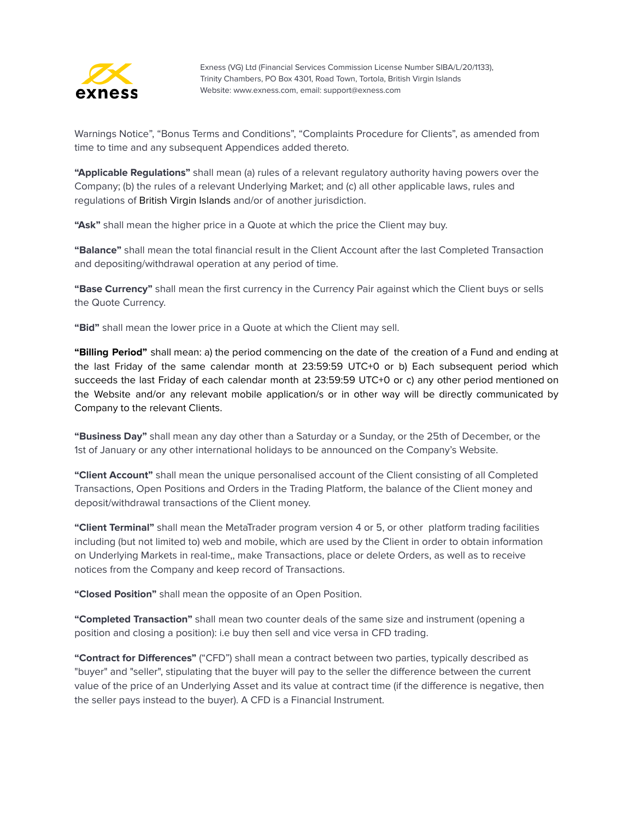

Warnings Notice", "Bonus Terms and Conditions", "Complaints Procedure for Clients", as amended from time to time and any subsequent Appendices added thereto.

**"Applicable Regulations"** shall mean (a) rules of a relevant regulatory authority having powers over the Company; (b) the rules of a relevant Underlying Market; and (c) all other applicable laws, rules and regulations of British Virgin Islands and/or of another jurisdiction.

**"Ask"** shall mean the higher price in a Quote at which the price the Client may buy.

**"Balance"** shall mean the total financial result in the Client Account after the last Completed Transaction and depositing/withdrawal operation at any period of time.

**"Base Currency"** shall mean the first currency in the Currency Pair against which the Client buys or sells the Quote Currency.

**"Bid"** shall mean the lower price in a Quote at which the Client may sell.

**"Billing Period"** shall mean: a) the period commencing on the date of the creation of a Fund and ending at the last Friday of the same calendar month at 23:59:59 UTC+0 or b) Each subsequent period which succeeds the last Friday of each calendar month at 23:59:59 UTC+0 or c) any other period mentioned on the Website and/or any relevant mobile application/s or in other way will be directly communicated by Company to the relevant Clients.

**"Business Day"** shall mean any day other than a Saturday or a Sunday, or the 25th of December, or the 1st of January or any other international holidays to be announced on the Company's Website.

**"Client Account"** shall mean the unique personalised account of the Client consisting of all Completed Transactions, Open Positions and Orders in the Trading Platform, the balance of the Client money and deposit/withdrawal transactions of the Client money.

**"Client Terminal"** shall mean the MetaTrader program version 4 or 5, or other platform trading facilities including (but not limited to) web and mobile, which are used by the Client in order to obtain information on Underlying Markets in real-time,, make Transactions, place or delete Orders, as well as to receive notices from the Company and keep record of Transactions.

**"Closed Position"** shall mean the opposite of an Open Position.

**"Completed Transaction"** shall mean two counter deals of the same size and instrument (opening a position and closing a position): i.e buy then sell and vice versa in CFD trading.

**"Contract for Differences"** ("CFD") shall mean a contract between two parties, typically described as "buyer" and "seller", stipulating that the buyer will pay to the seller the difference between the current value of the price of an Underlying Asset and its value at contract time (if the difference is negative, then the seller pays instead to the buyer). A CFD is a Financial Instrument.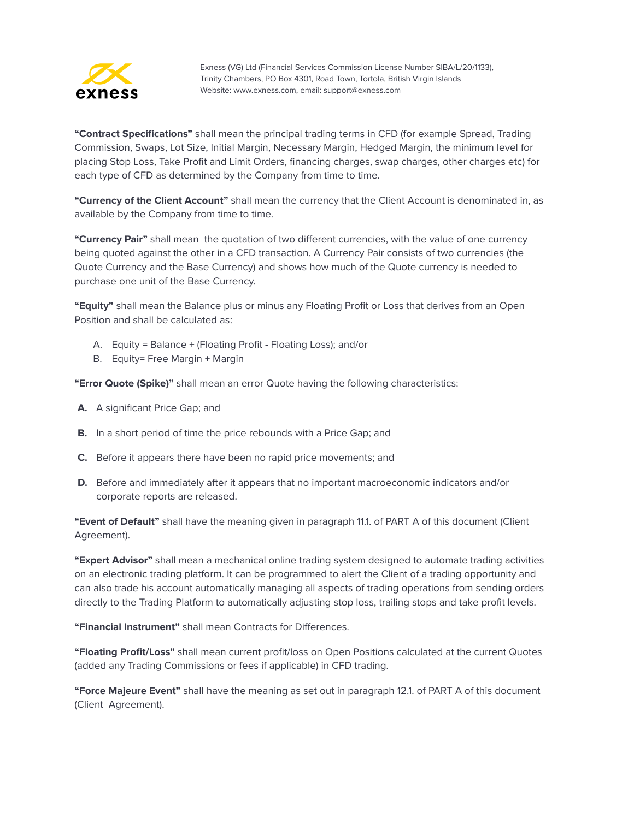

**"Contract Specifications"** shall mean the principal trading terms in CFD (for example Spread, Trading Commission, Swaps, Lot Size, Initial Margin, Necessary Margin, Hedged Margin, the minimum level for placing Stop Loss, Take Profit and Limit Orders, financing charges, swap charges, other charges etc) for each type of CFD as determined by the Company from time to time.

**"Currency of the Client Account"** shall mean the currency that the Client Account is denominated in, as available by the Company from time to time.

**"Currency Pair"** shall mean the quotation of two different currencies, with the value of one currency being quoted against the other in a CFD transaction. A Currency Pair consists of two currencies (the Quote Currency and the Base Currency) and shows how much of the Quote currency is needed to purchase one unit of the Base Currency.

**"Equity"** shall mean the Balance plus or minus any Floating Profit or Loss that derives from an Open Position and shall be calculated as:

- A. Equity = Balance + (Floating Profit Floating Loss); and/or
- B. Equity= Free Margin + Margin

**"Error Quote (Spike)"** shall mean an error Quote having the following characteristics:

- **A.** A significant Price Gap; and
- **B.** In a short period of time the price rebounds with a Price Gap; and
- **C.** Before it appears there have been no rapid price movements; and
- **D.** Before and immediately after it appears that no important macroeconomic indicators and/or corporate reports are released.

**"Event of Default"** shall have the meaning given in paragraph 11.1. of PART A of this document (Client Agreement).

**"Expert Advisor"** shall mean a mechanical online trading system designed to automate trading activities on an electronic trading platform. It can be programmed to alert the Client of a trading opportunity and can also trade his account automatically managing all aspects of trading operations from sending orders directly to the Trading Platform to automatically adjusting stop loss, trailing stops and take profit levels.

**"Financial Instrument"** shall mean Contracts for Differences.

**"Floating Profit/Loss"** shall mean current profit/loss on Open Positions calculated at the current Quotes (added any Trading Commissions or fees if applicable) in CFD trading.

**"Force Majeure Event"** shall have the meaning as set out in paragraph 12.1. of PART A of this document (Client Agreement).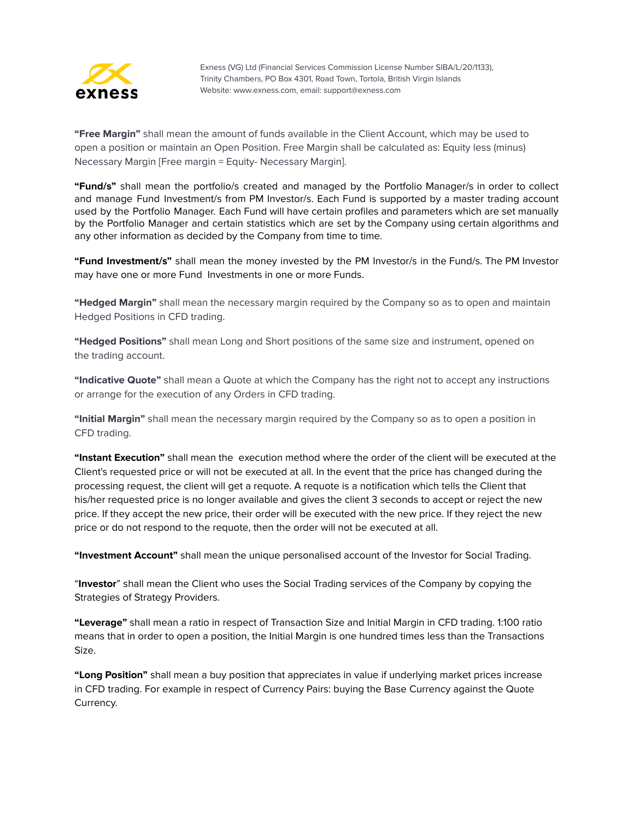

**"Free Margin"** shall mean the amount of funds available in the Client Account, which may be used to open a position or maintain an Open Position. Free Margin shall be calculated as: Equity less (minus) Necessary Margin [Free margin = Equity- Necessary Margin].

**"Fund/s"** shall mean the portfolio/s created and managed by the Portfolio Manager/s in order to collect and manage Fund Investment/s from PM Investor/s. Each Fund is supported by a master trading account used by the Portfolio Manager. Each Fund will have certain profiles and parameters which are set manually by the Portfolio Manager and certain statistics which are set by the Company using certain algorithms and any other information as decided by the Company from time to time.

**"Fund Investment/s"** shall mean the money invested by the PM Investor/s in the Fund/s. The PM Investor may have one or more Fund Investments in one or more Funds.

**"Hedged Margin"** shall mean the necessary margin required by the Company so as to open and maintain Hedged Positions in CFD trading.

**"Hedged Positions"** shall mean Long and Short positions of the same size and instrument, opened on the trading account.

**"Indicative Quote"** shall mean a Quote at which the Company has the right not to accept any instructions or arrange for the execution of any Orders in CFD trading.

**"Initial Margin"** shall mean the necessary margin required by the Company so as to open a position in CFD trading.

**"Instant Execution"** shall mean the execution method where the order of the client will be executed at the Client's requested price or will not be executed at all. In the event that the price has changed during the processing request, the client will get a requote. A requote is a notification which tells the Client that his/her requested price is no longer available and gives the client 3 seconds to accept or reject the new price. If they accept the new price, their order will be executed with the new price. If they reject the new price or do not respond to the requote, then the order will not be executed at all.

**"Investment Account"** shall mean the unique personalised account of the Investor for Social Trading.

"**Investor**" shall mean the Client who uses the Social Trading services of the Company by copying the Strategies of Strategy Providers.

**"Leverage"** shall mean a ratio in respect of Transaction Size and Initial Margin in CFD trading. 1:100 ratio means that in order to open a position, the Initial Margin is one hundred times less than the Transactions Size.

**"Long Position"** shall mean a buy position that appreciates in value if underlying market prices increase in CFD trading. For example in respect of Currency Pairs: buying the Base Currency against the Quote Currency.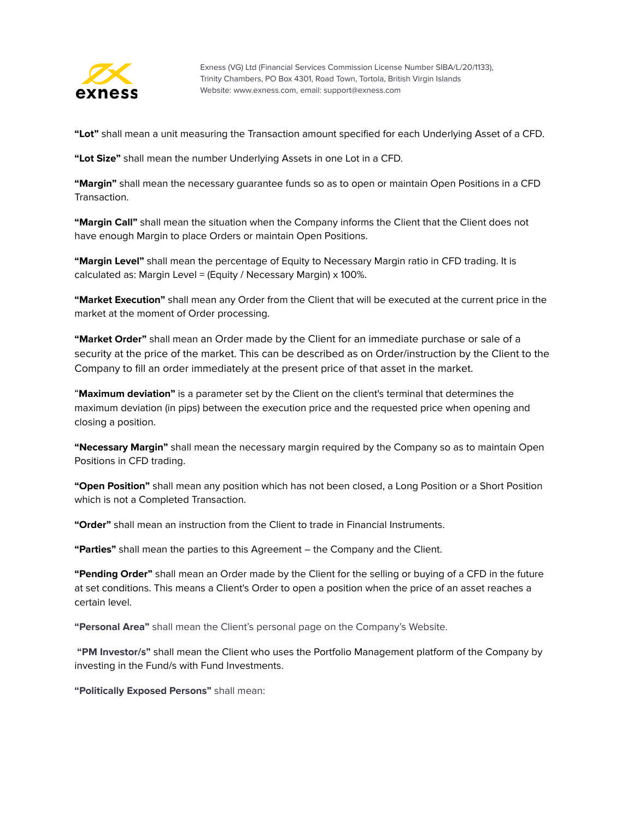

**"Lot"** shall mean a unit measuring the Transaction amount specified for each Underlying Asset of a CFD.

**"Lot Size"** shall mean the number Underlying Assets in one Lot in a CFD.

**"Margin"** shall mean the necessary guarantee funds so as to open or maintain Open Positions in a CFD Transaction.

**"Margin Call"** shall mean the situation when the Company informs the Client that the Client does not have enough Margin to place Orders or maintain Open Positions.

**"Маrgin Level"** shall mean the percentage of Equity to Necessary Margin ratio in CFD trading. It is calculated as: Margin Level = (Equity / Necessary Margin) x 100%.

**"Market Execution"** shall mean any Order from the Client that will be executed at the current price in the market at the moment of Order processing.

**"Market Order"** shall mean an Order made by the Client for an immediate purchase or sale of a security at the price of the market. This can be described as on Order/instruction by the Client to the Company to fill an order immediately at the present price of that asset in the market.

"**Maximum deviation"** is a parameter set by the Client on the client's terminal that determines the maximum deviation (in pips) between the execution price and the requested price when opening and closing a position.

**"Necessary Margin"** shall mean the necessary margin required by the Company so as to maintain Open Positions in CFD trading.

**"Open Position"** shall mean any position which has not been closed, a Long Position or a Short Position which is not a Completed Transaction.

**"Order"** shall mean an instruction from the Client to trade in Financial Instruments.

**"Parties"** shall mean the parties to this Agreement – the Company and the Client.

**"Pending Order"** shall mean an Order made by the Client for the selling or buying of a CFD in the future at set conditions. This means a Client's Order to open a position when the price of an asset reaches a certain level.

**"Personal Area"** shall mean the Client's personal page on the Company's Website.

**"PM Investor/s"** shall mean the Client who uses the Portfolio Management platform of the Company by investing in the Fund/s with Fund Investments.

**"Politically Exposed Persons"** shall mean: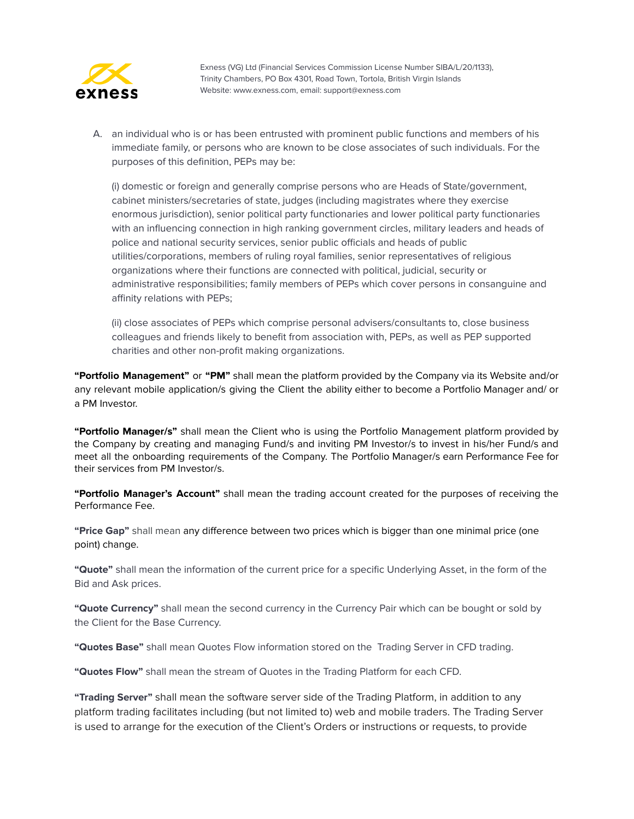

A. an individual who is or has been entrusted with prominent public functions and members of his immediate family, or persons who are known to be close associates of such individuals. For the purposes of this definition, PEPs may be:

(i) domestic or foreign and generally comprise persons who are Heads of State/government, cabinet ministers/secretaries of state, judges (including magistrates where they exercise enormous jurisdiction), senior political party functionaries and lower political party functionaries with an influencing connection in high ranking government circles, military leaders and heads of police and national security services, senior public officials and heads of public utilities/corporations, members of ruling royal families, senior representatives of religious organizations where their functions are connected with political, judicial, security or administrative responsibilities; family members of PEPs which cover persons in consanguine and affinity relations with PEPs;

(ii) close associates of PEPs which comprise personal advisers/consultants to, close business colleagues and friends likely to benefit from association with, PEPs, as well as PEP supported charities and other non-profit making organizations.

**"Portfolio Management"** or **"PM"** shall mean the platform provided by the Company via its Website and/or any relevant mobile application/s giving the Client the ability either to become a Portfolio Manager and/ or a PM Investor.

**"Portfolio Manager/s"** shall mean the Client who is using the Portfolio Management platform provided by the Company by creating and managing Fund/s and inviting PM Investor/s to invest in his/her Fund/s and meet all the onboarding requirements of the Company. The Portfolio Manager/s earn Performance Fee for their services from PM Investor/s.

**"Portfolio Manager's Account"** shall mean the trading account created for the purposes of receiving the Performance Fee.

**"Price Gap"** shall mean any difference between two prices which is bigger than one minimal price (one point) change.

**"Quote"** shall mean the information of the current price for a specific Underlying Asset, in the form of the Bid and Ask prices.

**"Quote Currency"** shall mean the second currency in the Currency Pair which can be bought or sold by the Client for the Base Currency.

**"Quotes Base"** shall mean Quotes Flow information stored on the Trading Server in CFD trading.

**"Quotes Flow"** shall mean the stream of Quotes in the Trading Platform for each CFD.

**"Trading Server"** shall mean the software server side of the Trading Platform, in addition to any platform trading facilitates including (but not limited to) web and mobile traders. The Trading Server is used to arrange for the execution of the Client's Orders or instructions or requests, to provide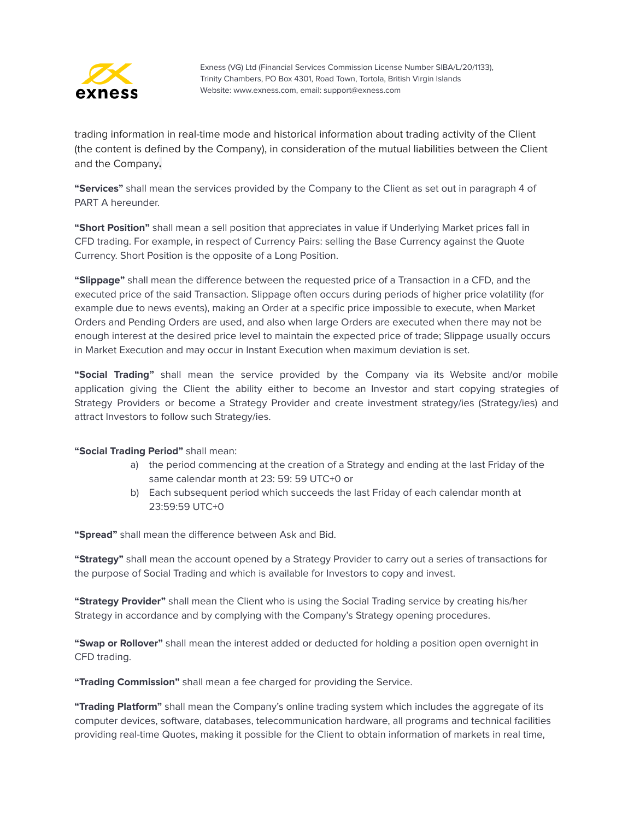

trading information in real-time mode and historical information about trading activity of the Client (the content is defined by the Company), in consideration of the mutual liabilities between the Client and the Company**.**

**"Services"** shall mean the services provided by the Company to the Client as set out in paragraph 4 of PART A hereunder.

**"Short Position"** shall mean a sell position that appreciates in value if Underlying Market prices fall in CFD trading. For example, in respect of Currency Pairs: selling the Base Currency against the Quote Currency. Short Position is the opposite of a Long Position.

**"Slippage"** shall mean the difference between the requested price of a Transaction in a CFD, and the executed price of the said Transaction. Slippage often occurs during periods of higher price volatility (for example due to news events), making an Order at a specific price impossible to execute, when Market Orders and Pending Orders are used, and also when large Orders are executed when there may not be enough interest at the desired price level to maintain the expected price of trade; Slippage usually occurs in Market Execution and may occur in Instant Execution when maximum deviation is set.

**"Social Trading"** shall mean the service provided by the Company via its Website and/or mobile application giving the Client the ability either to become an Investor and start copying strategies of Strategy Providers or become a Strategy Provider and create investment strategy/ies (Strategy/ies) and attract Investors to follow such Strategy/ies.

#### **"Social Trading Period"** shall mean:

- a) the period commencing at the creation of a Strategy and ending at the last Friday of the same calendar month at 23: 59: 59 UTC+0 or
- b) Each subsequent period which succeeds the last Friday of each calendar month at 23:59:59 UTC+0

**"Spread"** shall mean the difference between Ask and Bid.

**"Strategy"** shall mean the account opened by a Strategy Provider to carry out a series of transactions for the purpose of Social Trading and which is available for Investors to copy and invest.

**"Strategy Provider"** shall mean the Client who is using the Social Trading service by creating his/her Strategy in accordance and by complying with the Company's Strategy opening procedures.

**"Swap or Rollover"** shall mean the interest added or deducted for holding a position open overnight in CFD trading.

**"Trading Commission"** shall mean a fee charged for providing the Service.

**"Trading Platform"** shall mean the Company's online trading system which includes the aggregate of its computer devices, software, databases, telecommunication hardware, all programs and technical facilities providing real-time Quotes, making it possible for the Client to obtain information of markets in real time,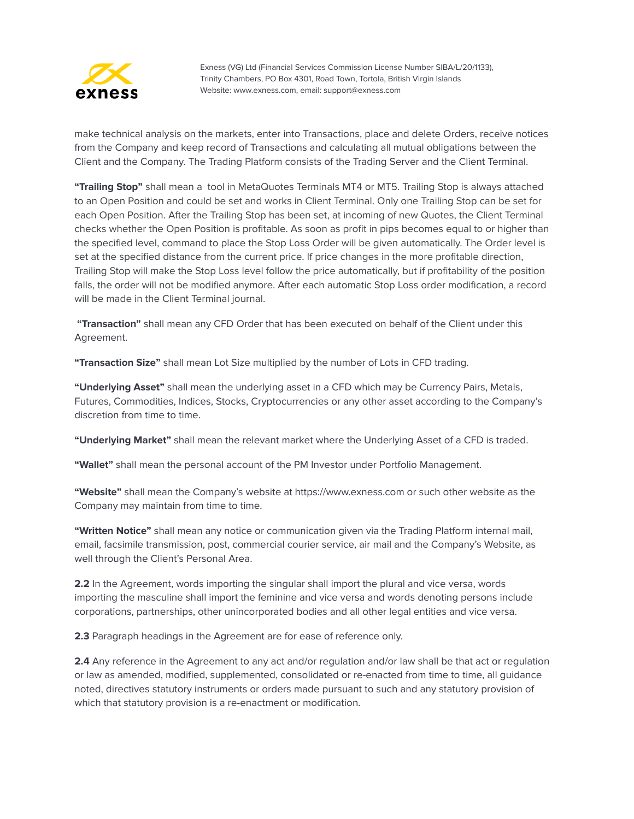

make technical analysis on the markets, enter into Transactions, place and delete Orders, receive notices from the Company and keep record of Transactions and calculating all mutual obligations between the Client and the Company. The Trading Platform consists of the Trading Server and the Client Terminal.

**"Trailing Stop"** shall mean a tool in MetaQuotes Terminals MT4 or MT5. Trailing Stop is always attached to an Open Position and could be set and works in Client Terminal. Only one Trailing Stop can be set for each Open Position. After the Trailing Stop has been set, at incoming of new Quotes, the Client Terminal checks whether the Open Position is profitable. As soon as profit in pips becomes equal to or higher than the specified level, command to place the Stop Loss Order will be given automatically. The Order level is set at the specified distance from the current price. If price changes in the more profitable direction, Trailing Stop will make the Stop Loss level follow the price automatically, but if profitability of the position falls, the order will not be modified anymore. After each automatic Stop Loss order modification, a record will be made in the Client Terminal journal.

**"Transaction"** shall mean any CFD Order that has been executed on behalf of the Client under this Agreement.

**"Transaction Size"** shall mean Lot Size multiplied by the number of Lots in CFD trading.

**"Underlying Asset"** shall mean the underlying asset in a CFD which may be Currency Pairs, Metals, Futures, Commodities, Indices, Stocks, Cryptocurrencies or any other asset according to the Company's discretion from time to time.

**"Underlying Market"** shall mean the relevant market where the Underlying Asset of a CFD is traded.

**"Wallet"** shall mean the personal account of the PM Investor under Portfolio Management.

**"Website"** shall mean the Company's website at https://www.exness.com or such other website as the Company may maintain from time to time.

**"Written Notice"** shall mean any notice or communication given via the Trading Platform internal mail, email, facsimile transmission, post, commercial courier service, air mail and the Company's Website, as well through the Client's Personal Area.

**2.2** In the Agreement, words importing the singular shall import the plural and vice versa, words importing the masculine shall import the feminine and vice versa and words denoting persons include corporations, partnerships, other unincorporated bodies and all other legal entities and vice versa.

**2.3** Paragraph headings in the Agreement are for ease of reference only.

**2.4** Any reference in the Agreement to any act and/or regulation and/or law shall be that act or regulation or law as amended, modified, supplemented, consolidated or re-enacted from time to time, all guidance noted, directives statutory instruments or orders made pursuant to such and any statutory provision of which that statutory provision is a re-enactment or modification.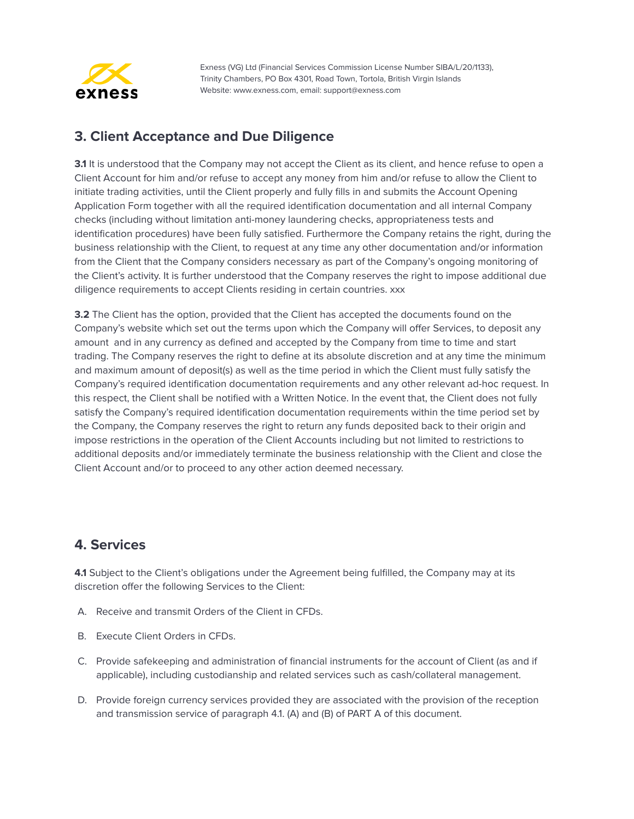

#### <span id="page-11-0"></span>**3. Client Acceptance and Due Diligence**

**3.1** It is understood that the Company may not accept the Client as its client, and hence refuse to open a Client Account for him and/or refuse to accept any money from him and/or refuse to allow the Client to initiate trading activities, until the Client properly and fully fills in and submits the Account Opening Application Form together with all the required identification documentation and all internal Company checks (including without limitation anti-money laundering checks, appropriateness tests and identification procedures) have been fully satisfied. Furthermore the Company retains the right, during the business relationship with the Client, to request at any time any other documentation and/or information from the Client that the Company considers necessary as part of the Company's ongoing monitoring of the Client's activity. It is further understood that the Company reserves the right to impose additional due diligence requirements to accept Clients residing in certain countries. xxx

**3.2** The Client has the option, provided that the Client has accepted the documents found on the Company's website which set out the terms upon which the Company will offer Services, to deposit any amount and in any currency as defined and accepted by the Company from time to time and start trading. The Company reserves the right to define at its absolute discretion and at any time the minimum and maximum amount of deposit(s) as well as the time period in which the Client must fully satisfy the Company's required identification documentation requirements and any other relevant ad-hoc request. In this respect, the Client shall be notified with a Written Notice. In the event that, the Client does not fully satisfy the Company's required identification documentation requirements within the time period set by the Company, the Company reserves the right to return any funds deposited back to their origin and impose restrictions in the operation of the Client Accounts including but not limited to restrictions to additional deposits and/or immediately terminate the business relationship with the Client and close the Client Account and/or to proceed to any other action deemed necessary.

## <span id="page-11-1"></span>**4. Services**

**4.1** Subject to the Client's obligations under the Agreement being fulfilled, the Company may at its discretion offer the following Services to the Client:

- A. Receive and transmit Orders of the Client in CFDs.
- B. Execute Client Orders in CFDs.
- C. Provide safekeeping and administration of financial instruments for the account of Client (as and if applicable), including custodianship and related services such as cash/collateral management.
- D. Provide foreign currency services provided they are associated with the provision of the reception and transmission service of paragraph 4.1. (A) and (B) of PART A of this document.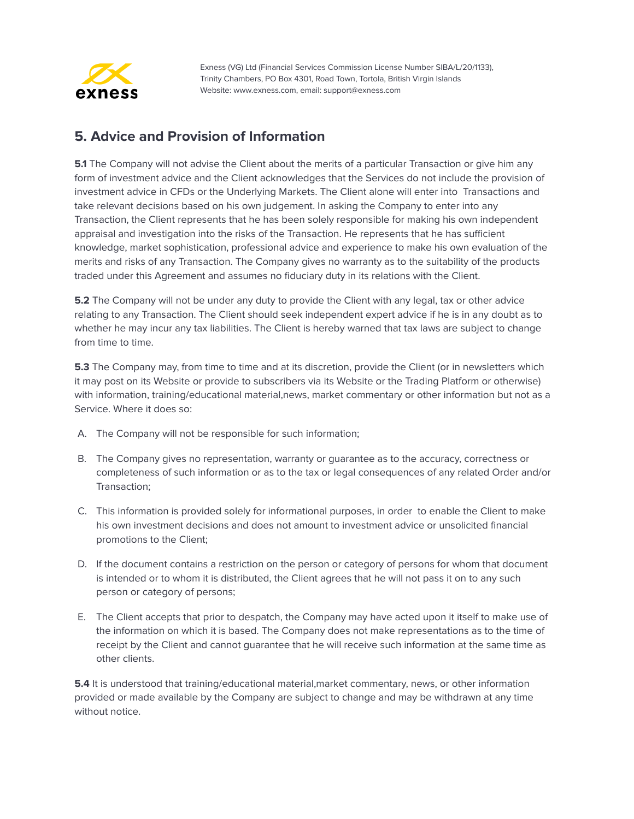

#### <span id="page-12-0"></span>**5. Advice and Provision of Information**

**5.1** The Company will not advise the Client about the merits of a particular Transaction or give him any form of investment advice and the Client acknowledges that the Services do not include the provision of investment advice in CFDs or the Underlying Markets. The Client alone will enter into Transactions and take relevant decisions based on his own judgement. In asking the Company to enter into any Transaction, the Client represents that he has been solely responsible for making his own independent appraisal and investigation into the risks of the Transaction. He represents that he has sufficient knowledge, market sophistication, professional advice and experience to make his own evaluation of the merits and risks of any Transaction. The Company gives no warranty as to the suitability of the products traded under this Agreement and assumes no fiduciary duty in its relations with the Client.

**5.2** The Company will not be under any duty to provide the Client with any legal, tax or other advice relating to any Transaction. The Client should seek independent expert advice if he is in any doubt as to whether he may incur any tax liabilities. The Client is hereby warned that tax laws are subject to change from time to time.

**5.3** The Company may, from time to time and at its discretion, provide the Client (or in newsletters which it may post on its Website or provide to subscribers via its Website or the Trading Platform or otherwise) with information, training/educational material,news, market commentary or other information but not as a Service. Where it does so:

- A. The Company will not be responsible for such information;
- B. The Company gives no representation, warranty or guarantee as to the accuracy, correctness or completeness of such information or as to the tax or legal consequences of any related Order and/or Transaction;
- C. This information is provided solely for informational purposes, in order to enable the Client to make his own investment decisions and does not amount to investment advice or unsolicited financial promotions to the Client;
- D. If the document contains a restriction on the person or category of persons for whom that document is intended or to whom it is distributed, the Client agrees that he will not pass it on to any such person or category of persons;
- E. The Client accepts that prior to despatch, the Company may have acted upon it itself to make use of the information on which it is based. The Company does not make representations as to the time of receipt by the Client and cannot guarantee that he will receive such information at the same time as other clients.

**5.4** It is understood that training/educational material, market commentary, news, or other information provided or made available by the Company are subject to change and may be withdrawn at any time without notice.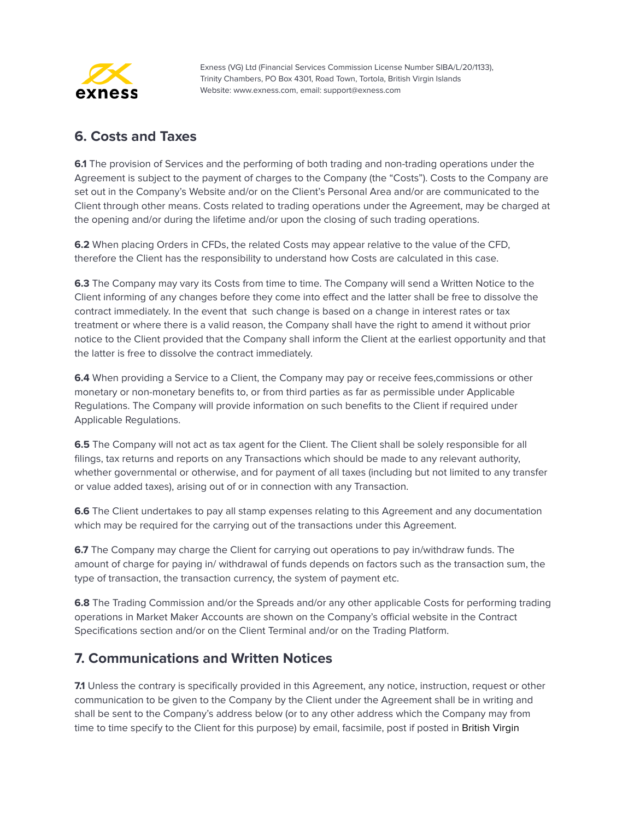

#### <span id="page-13-0"></span>**6. Costs and Taxes**

**6.1** The provision of Services and the performing of both trading and non-trading operations under the Agreement is subject to the payment of charges to the Company (the "Costs"). Costs to the Company are set out in the Company's Website and/or on the Client's Personal Area and/or are communicated to the Client through other means. Costs related to trading operations under the Agreement, may be charged at the opening and/or during the lifetime and/or upon the closing of such trading operations.

**6.2** When placing Orders in CFDs, the related Costs may appear relative to the value of the CFD, therefore the Client has the responsibility to understand how Costs are calculated in this case.

**6.3** The Company may vary its Costs from time to time. The Company will send a Written Notice to the Client informing of any changes before they come into effect and the latter shall be free to dissolve the contract immediately. In the event that such change is based on a change in interest rates or tax treatment or where there is a valid reason, the Company shall have the right to amend it without prior notice to the Client provided that the Company shall inform the Client at the earliest opportunity and that the latter is free to dissolve the contract immediately.

**6.4** When providing a Service to a Client, the Company may pay or receive fees, commissions or other monetary or non-monetary benefits to, or from third parties as far as permissible under Applicable Regulations. The Company will provide information on such benefits to the Client if required under Applicable Regulations.

**6.5** The Company will not act as tax agent for the Client. The Client shall be solely responsible for all filings, tax returns and reports on any Transactions which should be made to any relevant authority, whether governmental or otherwise, and for payment of all taxes (including but not limited to any transfer or value added taxes), arising out of or in connection with any Transaction.

**6.6** The Client undertakes to pay all stamp expenses relating to this Agreement and any documentation which may be required for the carrying out of the transactions under this Agreement.

**6.7** The Company may charge the Client for carrying out operations to pay in/withdraw funds. The amount of charge for paying in/ withdrawal of funds depends on factors such as the transaction sum, the type of transaction, the transaction currency, the system of payment etc.

**6.8** The Trading Commission and/or the Spreads and/or any other applicable Costs for performing trading operations in Market Maker Accounts are shown on the Company's official website in the Contract Specifications section and/or on the Client Terminal and/or on the Trading Platform.

#### <span id="page-13-1"></span>**7. Communications and Written Notices**

**7.1** Unless the contrary is specifically provided in this Agreement, any notice, instruction, request or other communication to be given to the Company by the Client under the Agreement shall be in writing and shall be sent to the Company's address below (or to any other address which the Company may from time to time specify to the Client for this purpose) by email, facsimile, post if posted in British Virgin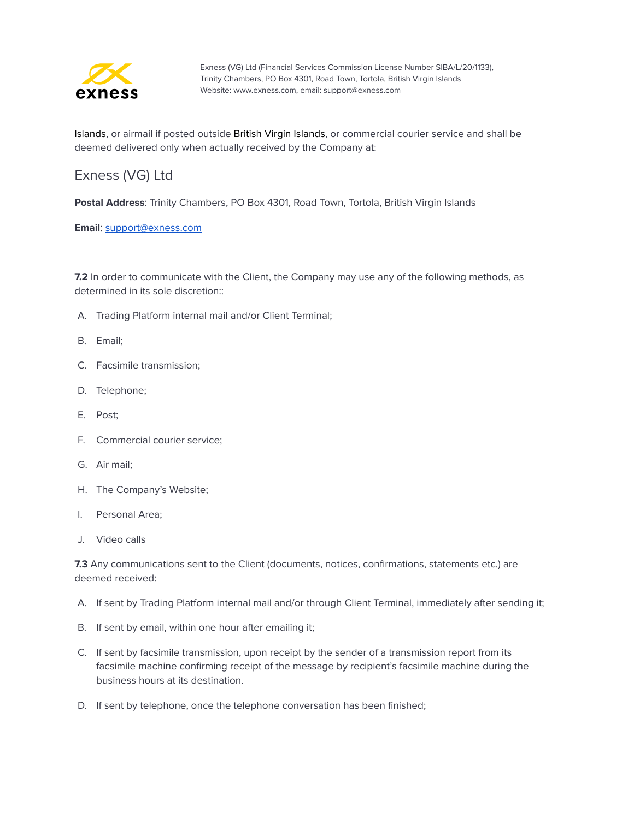

Islands, or airmail if posted outside British Virgin Islands, or commercial courier service and shall be deemed delivered only when actually received by the Company at:

## Exness (VG) Ltd

**Postal Address**: Trinity Chambers, PO Box 4301, Road Town, Tortola, British Virgin Islands

**Email**: [support@exness.com](mailto:support@exness.com)

**7.2** In order to communicate with the Client, the Company may use any of the following methods, as determined in its sole discretion::

- A. Trading Platform internal mail and/or Client Terminal;
- B. Email;
- C. Facsimile transmission;
- D. Telephone;
- E. Post;
- F. Commercial courier service;
- G. Air mail;
- H. The Company's Website;
- I. Personal Area;
- J. Video calls

**7.3** Any communications sent to the Client (documents, notices, confirmations, statements etc.) are deemed received:

- A. If sent by Trading Platform internal mail and/or through Client Terminal, immediately after sending it;
- B. If sent by email, within one hour after emailing it;
- C. If sent by facsimile transmission, upon receipt by the sender of a transmission report from its facsimile machine confirming receipt of the message by recipient's facsimile machine during the business hours at its destination.
- D. If sent by telephone, once the telephone conversation has been finished;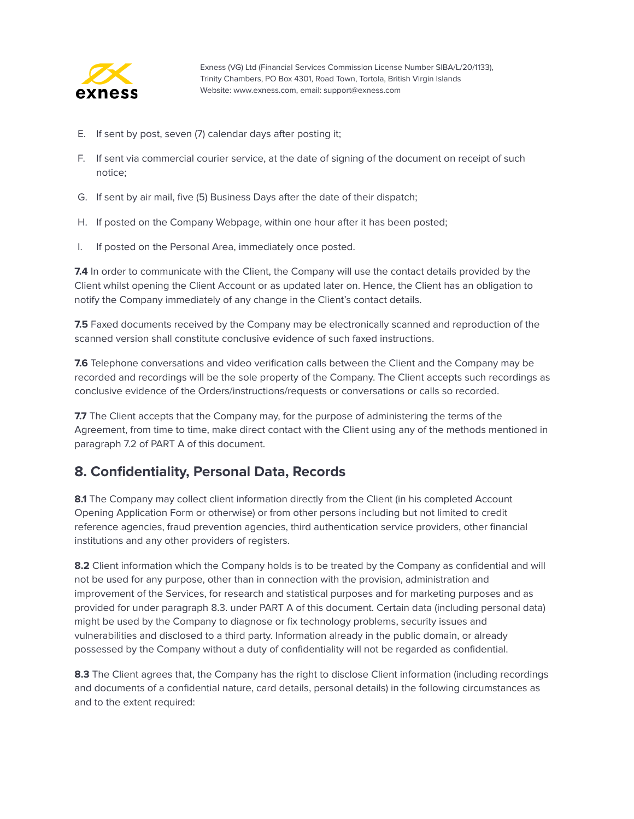

- E. If sent by post, seven (7) calendar days after posting it;
- F. If sent via commercial courier service, at the date of signing of the document on receipt of such notice;
- G. If sent by air mail, five (5) Business Days after the date of their dispatch;
- H. If posted on the Company Webpage, within one hour after it has been posted;
- I. If posted on the Personal Area, immediately once posted.

**7.4** In order to communicate with the Client, the Company will use the contact details provided by the Client whilst opening the Client Account or as updated later on. Hence, the Client has an obligation to notify the Company immediately of any change in the Client's contact details.

**7.5** Faxed documents received by the Company may be electronically scanned and reproduction of the scanned version shall constitute conclusive evidence of such faxed instructions.

**7.6** Telephone conversations and video verification calls between the Client and the Company may be recorded and recordings will be the sole property of the Company. The Client accepts such recordings as conclusive evidence of the Orders/instructions/requests or conversations or calls so recorded.

**7.7** The Client accepts that the Company may, for the purpose of administering the terms of the Agreement, from time to time, make direct contact with the Client using any of the methods mentioned in paragraph 7.2 of PART A of this document.

#### <span id="page-15-0"></span>**8. Confidentiality, Personal Data, Records**

**8.1** The Company may collect client information directly from the Client (in his completed Account Opening Application Form or otherwise) or from other persons including but not limited to credit reference agencies, fraud prevention agencies, third authentication service providers, other financial institutions and any other providers of registers.

**8.2** Client information which the Company holds is to be treated by the Company as confidential and will not be used for any purpose, other than in connection with the provision, administration and improvement of the Services, for research and statistical purposes and for marketing purposes and as provided for under paragraph 8.3. under PART A of this document. Certain data (including personal data) might be used by the Company to diagnose or fix technology problems, security issues and vulnerabilities and disclosed to a third party. Information already in the public domain, or already possessed by the Company without a duty of confidentiality will not be regarded as confidential.

**8.3** The Client agrees that, the Company has the right to disclose Client information (including recordings and documents of a confidential nature, card details, personal details) in the following circumstances as and to the extent required: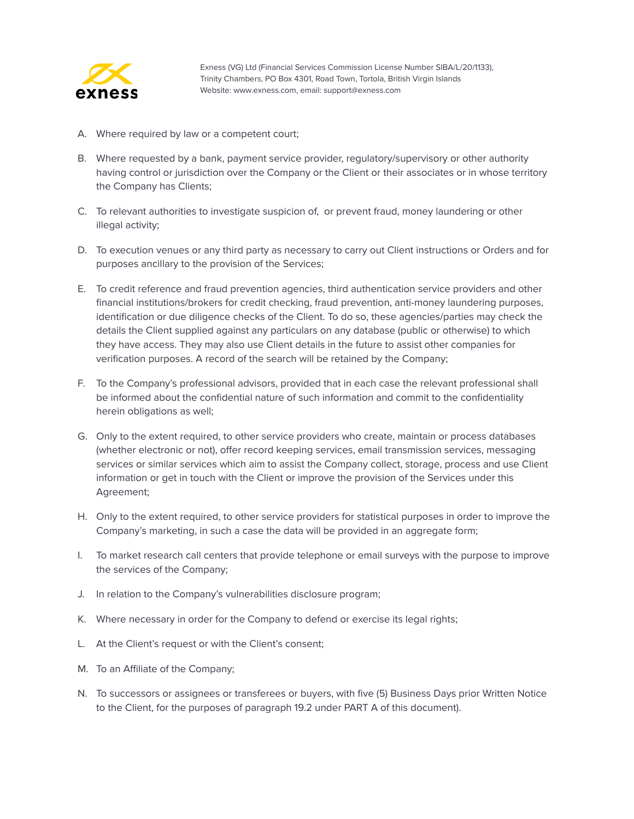

- A. Where required by law or a competent court;
- B. Where requested by a bank, payment service provider, regulatory/supervisory or other authority having control or jurisdiction over the Company or the Client or their associates or in whose territory the Company has Clients;
- C. To relevant authorities to investigate suspicion of, or prevent fraud, money laundering or other illegal activity;
- D. To execution venues or any third party as necessary to carry out Client instructions or Orders and for purposes ancillary to the provision of the Services;
- E. To credit reference and fraud prevention agencies, third authentication service providers and other financial institutions/brokers for credit checking, fraud prevention, anti-money laundering purposes, identification or due diligence checks of the Client. To do so, these agencies/parties may check the details the Client supplied against any particulars on any database (public or otherwise) to which they have access. They may also use Client details in the future to assist other companies for verification purposes. A record of the search will be retained by the Company;
- F. To the Company's professional advisors, provided that in each case the relevant professional shall be informed about the confidential nature of such information and commit to the confidentiality herein obligations as well;
- G. Only to the extent required, to other service providers who create, maintain or process databases (whether electronic or not), offer record keeping services, email transmission services, messaging services or similar services which aim to assist the Company collect, storage, process and use Client information or get in touch with the Client or improve the provision of the Services under this Agreement;
- H. Only to the extent required, to other service providers for statistical purposes in order to improve the Company's marketing, in such a case the data will be provided in an aggregate form;
- I. To market research call centers that provide telephone or email surveys with the purpose to improve the services of the Company;
- J. In relation to the Company's vulnerabilities disclosure program;
- K. Where necessary in order for the Company to defend or exercise its legal rights;
- L. At the Client's request or with the Client's consent;
- M. To an Affiliate of the Company;
- N. To successors or assignees or transferees or buyers, with five (5) Business Days prior Written Notice to the Client, for the purposes of paragraph 19.2 under PART A of this document).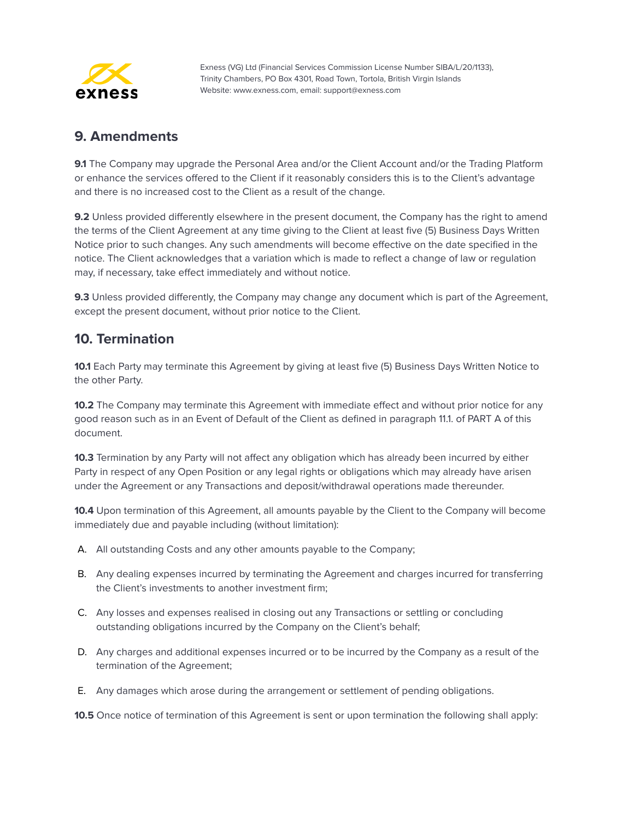

#### <span id="page-17-0"></span>**9. Amendments**

**9.1** The Company may upgrade the Personal Area and/or the Client Account and/or the Trading Platform or enhance the services offered to the Client if it reasonably considers this is to the Client's advantage and there is no increased cost to the Client as a result of the change.

**9.2** Unless provided differently elsewhere in the present document, the Company has the right to amend the terms of the Client Agreement at any time giving to the Client at least five (5) Business Days Written Notice prior to such changes. Any such amendments will become effective on the date specified in the notice. The Client acknowledges that a variation which is made to reflect a change of law or regulation may, if necessary, take effect immediately and without notice.

**9.3** Unless provided differently, the Company may change any document which is part of the Agreement, except the present document, without prior notice to the Client.

#### <span id="page-17-1"></span>**10. Termination**

**10.1** Each Party may terminate this Agreement by giving at least five (5) Business Days Written Notice to the other Party.

**10.2** The Company may terminate this Agreement with immediate effect and without prior notice for any good reason such as in an Event of Default of the Client as defined in paragraph 11.1. of PART A of this document.

**10.3** Termination by any Party will not affect any obligation which has already been incurred by either Party in respect of any Open Position or any legal rights or obligations which may already have arisen under the Agreement or any Transactions and deposit/withdrawal operations made thereunder.

**10.4** Upon termination of this Agreement, all amounts payable by the Client to the Company will become immediately due and payable including (without limitation):

- A. All outstanding Costs and any other amounts payable to the Company;
- B. Any dealing expenses incurred by terminating the Agreement and charges incurred for transferring the Client's investments to another investment firm;
- C. Any losses and expenses realised in closing out any Transactions or settling or concluding outstanding obligations incurred by the Company on the Client's behalf;
- D. Any charges and additional expenses incurred or to be incurred by the Company as a result of the termination of the Agreement;
- E. Any damages which arose during the arrangement or settlement of pending obligations.

**10.5** Once notice of termination of this Agreement is sent or upon termination the following shall apply: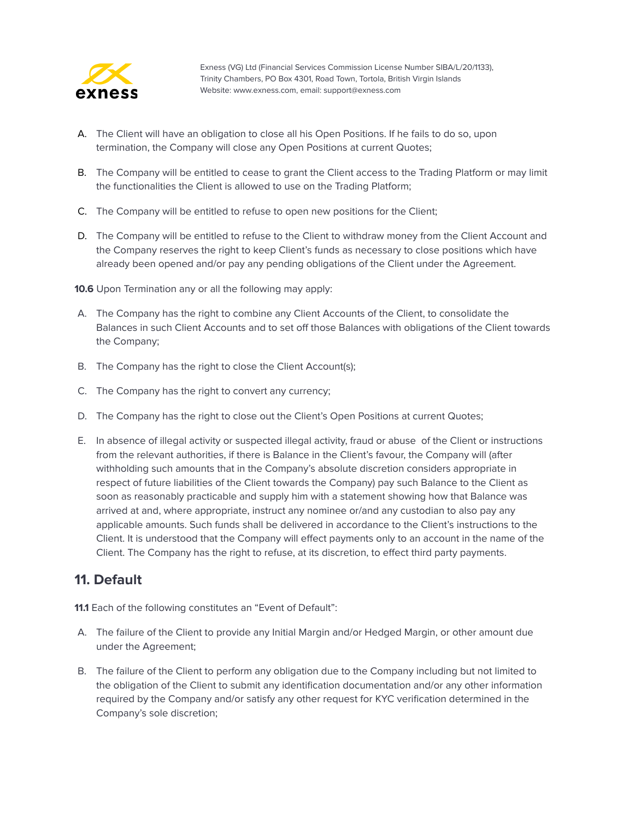

- A. The Client will have an obligation to close all his Open Positions. If he fails to do so, upon termination, the Company will close any Open Positions at current Quotes;
- B. The Company will be entitled to cease to grant the Client access to the Trading Platform or may limit the functionalities the Client is allowed to use on the Trading Platform;
- C. The Company will be entitled to refuse to open new positions for the Client;
- D. The Company will be entitled to refuse to the Client to withdraw money from the Client Account and the Company reserves the right to keep Client's funds as necessary to close positions which have already been opened and/or pay any pending obligations of the Client under the Agreement.

**10.6** Upon Termination any or all the following may apply:

- A. The Company has the right to combine any Client Accounts of the Client, to consolidate the Balances in such Client Accounts and to set off those Balances with obligations of the Client towards the Company;
- B. The Company has the right to close the Client Account(s);
- C. The Company has the right to convert any currency;
- D. The Company has the right to close out the Client's Open Positions at current Quotes;
- E. In absence of illegal activity or suspected illegal activity, fraud or abuse of the Client or instructions from the relevant authorities, if there is Balance in the Client's favour, the Company will (after withholding such amounts that in the Company's absolute discretion considers appropriate in respect of future liabilities of the Client towards the Company) pay such Balance to the Client as soon as reasonably practicable and supply him with a statement showing how that Balance was arrived at and, where appropriate, instruct any nominee or/and any custodian to also pay any applicable amounts. Such funds shall be delivered in accordance to the Client's instructions to the Client. It is understood that the Company will effect payments only to an account in the name of the Client. The Company has the right to refuse, at its discretion, to effect third party payments.

#### <span id="page-18-0"></span>**11. Default**

**11.1** Each of the following constitutes an "Event of Default":

- A. The failure of the Client to provide any Initial Margin and/or Hedged Margin, or other amount due under the Agreement;
- B. The failure of the Client to perform any obligation due to the Company including but not limited to the obligation of the Client to submit any identification documentation and/or any other information required by the Company and/or satisfy any other request for KYC verification determined in the Company's sole discretion;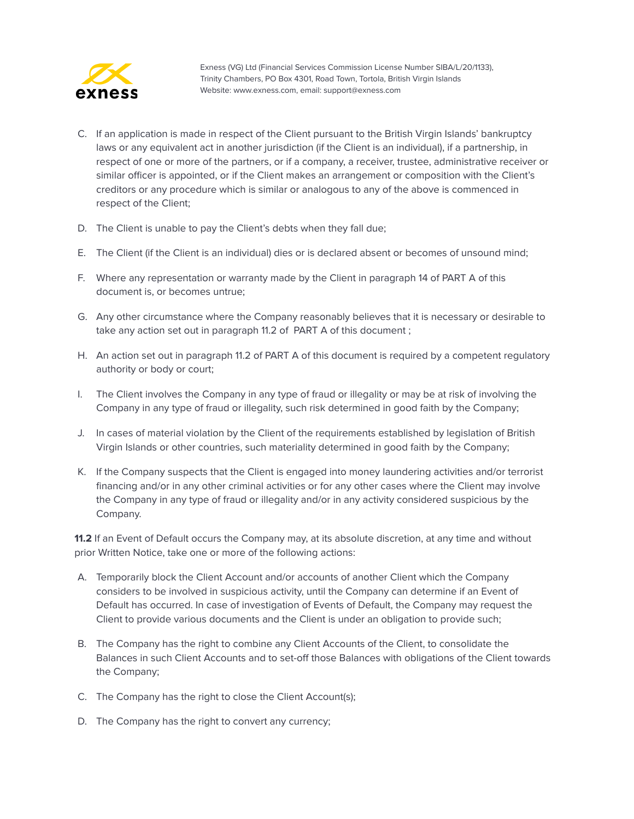

- C. If an application is made in respect of the Client pursuant to the British Virgin Islands' bankruptcy laws or any equivalent act in another jurisdiction (if the Client is an individual), if a partnership, in respect of one or more of the partners, or if a company, a receiver, trustee, administrative receiver or similar officer is appointed, or if the Client makes an arrangement or composition with the Client's creditors or any procedure which is similar or analogous to any of the above is commenced in respect of the Client;
- D. The Client is unable to pay the Client's debts when they fall due;
- E. The Client (if the Client is an individual) dies or is declared absent or becomes of unsound mind;
- F. Where any representation or warranty made by the Client in paragraph 14 of PART A of this document is, or becomes untrue;
- G. Any other circumstance where the Company reasonably believes that it is necessary or desirable to take any action set out in paragraph 11.2 of PART A of this document ;
- H. An action set out in paragraph 11.2 of PART A of this document is required by a competent regulatory authority or body or court;
- I. The Client involves the Company in any type of fraud or illegality or may be at risk of involving the Company in any type of fraud or illegality, such risk determined in good faith by the Company;
- J. In cases of material violation by the Client of the requirements established by legislation of British Virgin Islands or other countries, such materiality determined in good faith by the Company;
- K. If the Company suspects that the Client is engaged into money laundering activities and/or terrorist financing and/or in any other criminal activities or for any other cases where the Client may involve the Company in any type of fraud or illegality and/or in any activity considered suspicious by the Company.

**11.2** If an Event of Default occurs the Company may, at its absolute discretion, at any time and without prior Written Notice, take one or more of the following actions:

- A. Temporarily block the Client Account and/or accounts of another Client which the Company considers to be involved in suspicious activity, until the Company can determine if an Event of Default has occurred. In case of investigation of Events of Default, the Company may request the Client to provide various documents and the Client is under an obligation to provide such;
- B. The Company has the right to combine any Client Accounts of the Client, to consolidate the Balances in such Client Accounts and to set-off those Balances with obligations of the Client towards the Company;
- C. The Company has the right to close the Client Account(s);
- D. The Company has the right to convert any currency;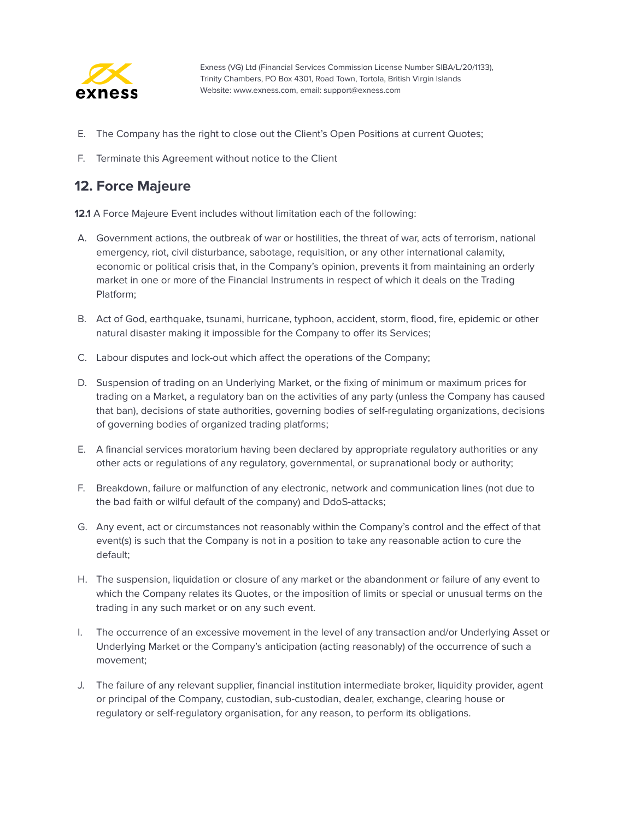

- E. The Company has the right to close out the Client's Open Positions at current Quotes;
- F. Terminate this Agreement without notice to the Client

#### <span id="page-20-0"></span>**12. Force Majeure**

**12.1** A Force Majeure Event includes without limitation each of the following:

- A. Government actions, the outbreak of war or hostilities, the threat of war, acts of terrorism, national emergency, riot, civil disturbance, sabotage, requisition, or any other international calamity, economic or political crisis that, in the Company's opinion, prevents it from maintaining an orderly market in one or more of the Financial Instruments in respect of which it deals on the Trading Platform;
- B. Act of God, earthquake, tsunami, hurricane, typhoon, accident, storm, flood, fire, epidemic or other natural disaster making it impossible for the Company to offer its Services;
- C. Labour disputes and lock-out which affect the operations of the Company;
- D. Suspension of trading on an Underlying Market, or the fixing of minimum or maximum prices for trading on a Market, a regulatory ban on the activities of any party (unless the Company has caused that ban), decisions of state authorities, governing bodies of self-regulating organizations, decisions of governing bodies of organized trading platforms;
- E. A financial services moratorium having been declared by appropriate regulatory authorities or any other acts or regulations of any regulatory, governmental, or supranational body or authority;
- F. Breakdown, failure or malfunction of any electronic, network and communication lines (not due to the bad faith or wilful default of the company) and DdoS-attacks;
- G. Any event, act or circumstances not reasonably within the Company's control and the effect of that event(s) is such that the Company is not in a position to take any reasonable action to cure the default;
- H. The suspension, liquidation or closure of any market or the abandonment or failure of any event to which the Company relates its Quotes, or the imposition of limits or special or unusual terms on the trading in any such market or on any such event.
- I. The occurrence of an excessive movement in the level of any transaction and/or Underlying Asset or Underlying Market or the Company's anticipation (acting reasonably) of the occurrence of such a movement;
- J. The failure of any relevant supplier, financial institution intermediate broker, liquidity provider, agent or principal of the Company, custodian, sub-custodian, dealer, exchange, clearing house or regulatory or self-regulatory organisation, for any reason, to perform its obligations.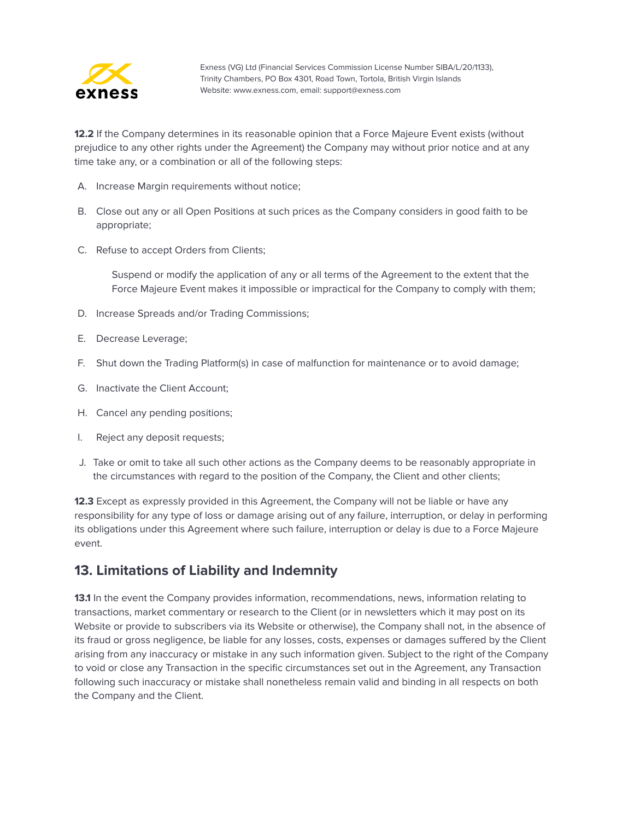

**12.2** If the Company determines in its reasonable opinion that a Force Majeure Event exists (without prejudice to any other rights under the Agreement) the Company may without prior notice and at any time take any, or a combination or all of the following steps:

- A. Increase Margin requirements without notice;
- B. Close out any or all Open Positions at such prices as the Company considers in good faith to be appropriate;
- C. Refuse to accept Orders from Clients;

Suspend or modify the application of any or all terms of the Agreement to the extent that the Force Majeure Event makes it impossible or impractical for the Company to comply with them;

- D. Increase Spreads and/or Trading Commissions;
- E. Decrease Leverage;
- F. Shut down the Trading Platform(s) in case of malfunction for maintenance or to avoid damage;
- G. Inactivate the Client Account;
- H. Cancel any pending positions;
- I. Reject any deposit requests;
- J. Take or omit to take all such other actions as the Company deems to be reasonably appropriate in the circumstances with regard to the position of the Company, the Client and other clients;

**12.3** Except as expressly provided in this Agreement, the Company will not be liable or have any responsibility for any type of loss or damage arising out of any failure, interruption, or delay in performing its obligations under this Agreement where such failure, interruption or delay is due to a Force Majeure event.

#### <span id="page-21-0"></span>**13. Limitations of Liability and Indemnity**

**13.1** In the event the Company provides information, recommendations, news, information relating to transactions, market commentary or research to the Client (or in newsletters which it may post on its Website or provide to subscribers via its Website or otherwise), the Company shall not, in the absence of its fraud or gross negligence, be liable for any losses, costs, expenses or damages suffered by the Client arising from any inaccuracy or mistake in any such information given. Subject to the right of the Company to void or close any Transaction in the specific circumstances set out in the Agreement, any Transaction following such inaccuracy or mistake shall nonetheless remain valid and binding in all respects on both the Company and the Client.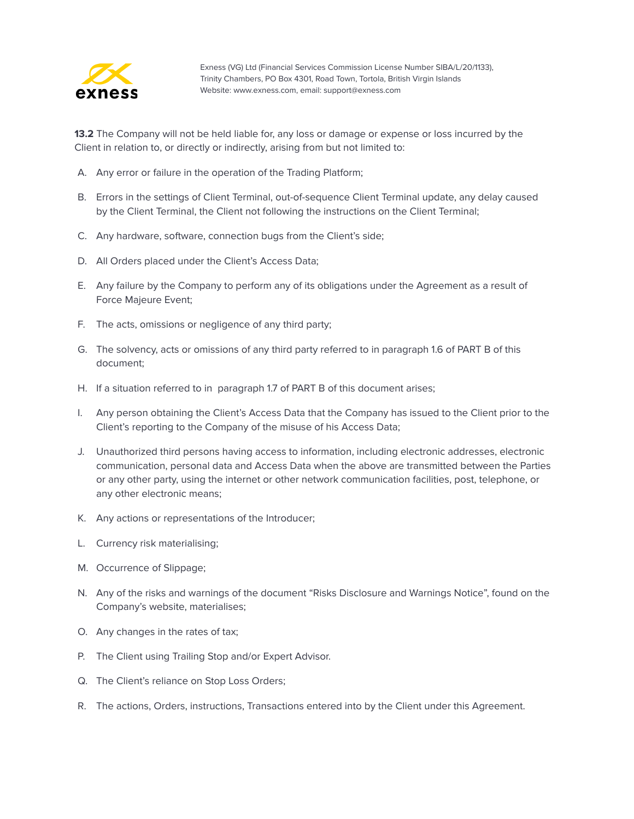

**13.2** The Company will not be held liable for, any loss or damage or expense or loss incurred by the Client in relation to, or directly or indirectly, arising from but not limited to:

- A. Any error or failure in the operation of the Trading Platform;
- B. Errors in the settings of Client Terminal, out-of-sequence Client Terminal update, any delay caused by the Client Terminal, the Client not following the instructions on the Client Terminal;
- C. Any hardware, software, connection bugs from the Client's side;
- D. All Orders placed under the Client's Access Data;
- E. Any failure by the Company to perform any of its obligations under the Agreement as a result of Force Majeure Event;
- F. The acts, omissions or negligence of any third party;
- G. The solvency, acts or omissions of any third party referred to in paragraph 1.6 of PART B of this document;
- H. If a situation referred to in paragraph 1.7 of PART B of this document arises;
- I. Any person obtaining the Client's Access Data that the Company has issued to the Client prior to the Client's reporting to the Company of the misuse of his Access Data;
- J. Unauthorized third persons having access to information, including electronic addresses, electronic communication, personal data and Access Data when the above are transmitted between the Parties or any other party, using the internet or other network communication facilities, post, telephone, or any other electronic means;
- K. Any actions or representations of the Introducer;
- L. Currency risk materialising;
- M. Occurrence of Slippage;
- N. Any of the risks and warnings of the document "Risks Disclosure and Warnings Notice", found on the Company's website, materialises;
- O. Any changes in the rates of tax;
- P. The Client using Trailing Stop and/or Expert Advisor.
- Q. The Client's reliance on Stop Loss Orders;
- R. The actions, Orders, instructions, Transactions entered into by the Client under this Agreement.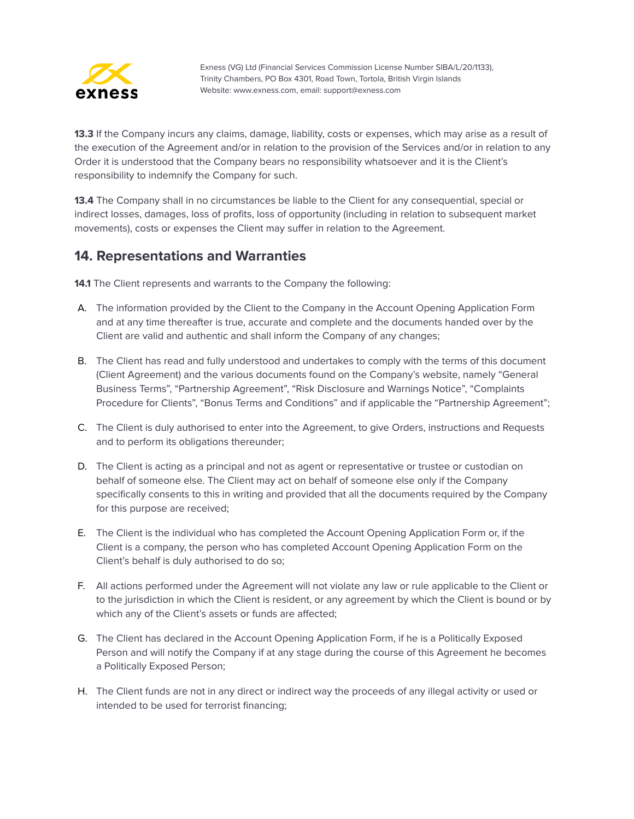

**13.3** If the Company incurs any claims, damage, liability, costs or expenses, which may arise as a result of the execution of the Agreement and/or in relation to the provision of the Services and/or in relation to any Order it is understood that the Company bears no responsibility whatsoever and it is the Client's responsibility to indemnify the Company for such.

**13.4** The Company shall in no circumstances be liable to the Client for any consequential, special or indirect losses, damages, loss of profits, loss of opportunity (including in relation to subsequent market movements), costs or expenses the Client may suffer in relation to the Agreement.

#### <span id="page-23-0"></span>**14. Representations and Warranties**

**14.1** The Client represents and warrants to the Company the following:

- A. The information provided by the Client to the Company in the Account Opening Application Form and at any time thereafter is true, accurate and complete and the documents handed over by the Client are valid and authentic and shall inform the Company of any changes;
- B. The Client has read and fully understood and undertakes to comply with the terms of this document (Client Agreement) and the various documents found on the Company's website, namely "General Business Terms", "Partnership Agreement", "Risk Disclosure and Warnings Notice", "Complaints Procedure for Clients", "Bonus Terms and Conditions" and if applicable the "Partnership Agreement";
- C. The Client is duly authorised to enter into the Agreement, to give Orders, instructions and Requests and to perform its obligations thereunder;
- D. The Client is acting as a principal and not as agent or representative or trustee or custodian on behalf of someone else. The Client may act on behalf of someone else only if the Company specifically consents to this in writing and provided that all the documents required by the Company for this purpose are received;
- E. The Client is the individual who has completed the Account Opening Application Form or, if the Client is a company, the person who has completed Account Opening Application Form on the Client's behalf is duly authorised to do so;
- F. All actions performed under the Agreement will not violate any law or rule applicable to the Client or to the jurisdiction in which the Client is resident, or any agreement by which the Client is bound or by which any of the Client's assets or funds are affected;
- G. The Client has declared in the Account Opening Application Form, if he is a Politically Exposed Person and will notify the Company if at any stage during the course of this Agreement he becomes a Politically Exposed Person;
- H. The Client funds are not in any direct or indirect way the proceeds of any illegal activity or used or intended to be used for terrorist financing;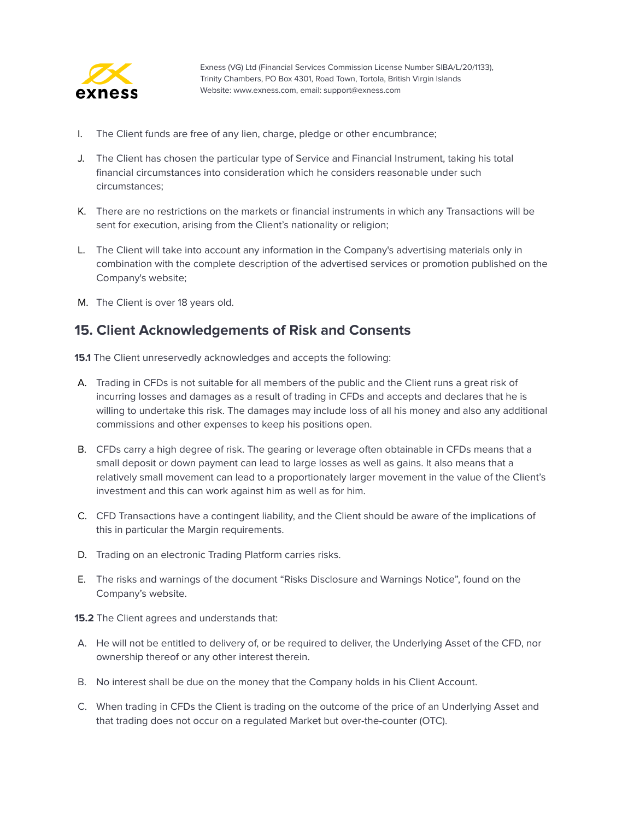

- I. The Client funds are free of any lien, charge, pledge or other encumbrance;
- J. The Client has chosen the particular type of Service and Financial Instrument, taking his total financial circumstances into consideration which he considers reasonable under such circumstances;
- K. There are no restrictions on the markets or financial instruments in which any Transactions will be sent for execution, arising from the Client's nationality or religion;
- L. The Client will take into account any information in the Company's advertising materials only in combination with the complete description of the advertised services or promotion published on the Company's website;
- M. The Client is over 18 years old.

#### <span id="page-24-0"></span>**15. Client Acknowledgements of Risk and Consents**

**15.1** The Client unreservedly acknowledges and accepts the following:

- A. Trading in CFDs is not suitable for all members of the public and the Client runs a great risk of incurring losses and damages as a result of trading in CFDs and accepts and declares that he is willing to undertake this risk. The damages may include loss of all his money and also any additional commissions and other expenses to keep his positions open.
- B. CFDs carry a high degree of risk. The gearing or leverage often obtainable in CFDs means that a small deposit or down payment can lead to large losses as well as gains. It also means that a relatively small movement can lead to a proportionately larger movement in the value of the Client's investment and this can work against him as well as for him.
- C. CFD Transactions have a contingent liability, and the Client should be aware of the implications of this in particular the Margin requirements.
- D. Trading on an electronic Trading Platform carries risks.
- E. The risks and warnings of the document "Risks Disclosure and Warnings Notice", found on the Company's website.
- **15.2** The Client agrees and understands that:
- A. He will not be entitled to delivery of, or be required to deliver, the Underlying Asset of the CFD, nor ownership thereof or any other interest therein.
- B. No interest shall be due on the money that the Company holds in his Client Account.
- C. When trading in CFDs the Client is trading on the outcome of the price of an Underlying Asset and that trading does not occur on a regulated Market but over-the-counter (OTC).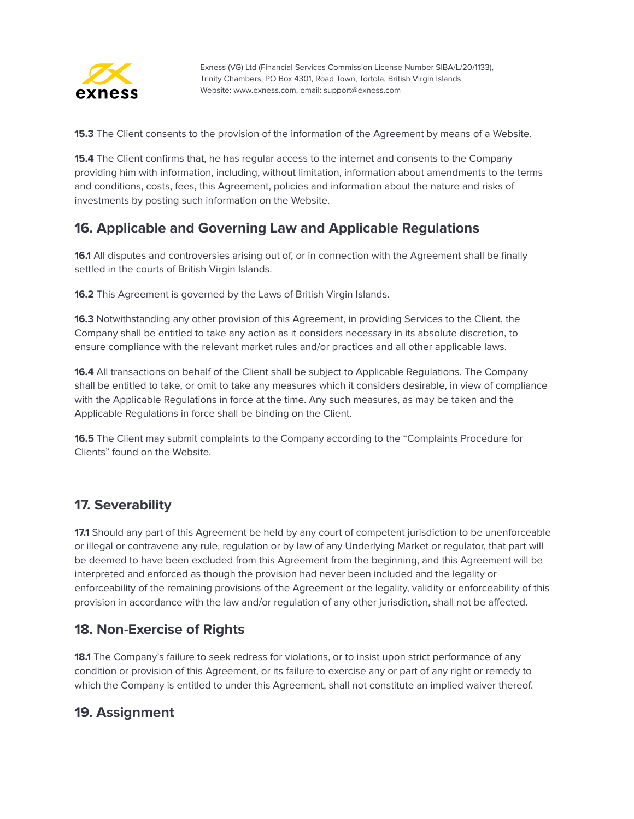

**15.3** The Client consents to the provision of the information of the Agreement by means of a Website.

**15.4** The Client confirms that, he has regular access to the internet and consents to the Company providing him with information, including, without limitation, information about amendments to the terms and conditions, costs, fees, this Agreement, policies and information about the nature and risks of investments by posting such information on the Website.

#### <span id="page-25-0"></span>**16. Applicable and Governing Law and Applicable Regulations**

**16.1** All disputes and controversies arising out of, or in connection with the Agreement shall be finally settled in the courts of British Virgin Islands.

**16.2** This Agreement is governed by the Laws of British Virgin Islands.

**16.3** Notwithstanding any other provision of this Agreement, in providing Services to the Client, the Company shall be entitled to take any action as it considers necessary in its absolute discretion, to ensure compliance with the relevant market rules and/or practices and all other applicable laws.

**16.4** All transactions on behalf of the Client shall be subject to Applicable Regulations. The Company shall be entitled to take, or omit to take any measures which it considers desirable, in view of compliance with the Applicable Regulations in force at the time. Any such measures, as may be taken and the Applicable Regulations in force shall be binding on the Client.

**16.5** The Client may submit complaints to the Company according to the "Complaints Procedure for Clients" found on the Website.

#### <span id="page-25-1"></span>**17. Severability**

**17.1** Should any part of this Agreement be held by any court of competent jurisdiction to be unenforceable or illegal or contravene any rule, regulation or by law of any Underlying Market or regulator, that part will be deemed to have been excluded from this Agreement from the beginning, and this Agreement will be interpreted and enforced as though the provision had never been included and the legality or enforceability of the remaining provisions of the Agreement or the legality, validity or enforceability of this provision in accordance with the law and/or regulation of any other jurisdiction, shall not be affected.

#### <span id="page-25-2"></span>**18. Non-Exercise of Rights**

**18.1** The Company's failure to seek redress for violations, or to insist upon strict performance of any condition or provision of this Agreement, or its failure to exercise any or part of any right or remedy to which the Company is entitled to under this Agreement, shall not constitute an implied waiver thereof.

#### <span id="page-25-3"></span>**19. Assignment**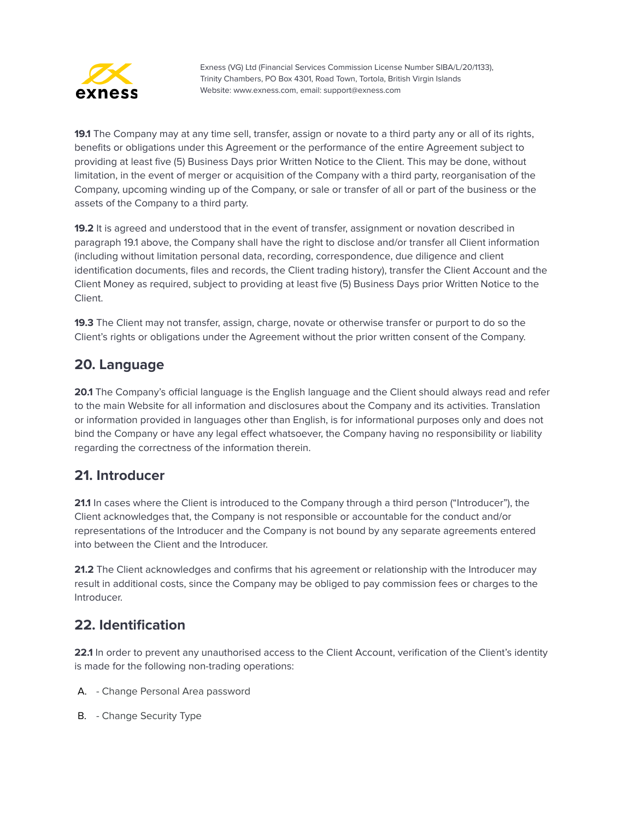

**19.1** The Company may at any time sell, transfer, assign or novate to a third party any or all of its rights, benefits or obligations under this Agreement or the performance of the entire Agreement subject to providing at least five (5) Business Days prior Written Notice to the Client. This may be done, without limitation, in the event of merger or acquisition of the Company with a third party, reorganisation of the Company, upcoming winding up of the Company, or sale or transfer of all or part of the business or the assets of the Company to a third party.

**19.2** It is agreed and understood that in the event of transfer, assignment or novation described in paragraph 19.1 above, the Company shall have the right to disclose and/or transfer all Client information (including without limitation personal data, recording, correspondence, due diligence and client identification documents, files and records, the Client trading history), transfer the Client Account and the Client Money as required, subject to providing at least five (5) Business Days prior Written Notice to the Client.

**19.3** The Client may not transfer, assign, charge, novate or otherwise transfer or purport to do so the Client's rights or obligations under the Agreement without the prior written consent of the Company.

#### <span id="page-26-0"></span>**20. Language**

**20.1** The Company's official language is the English language and the Client should always read and refer to the main Website for all information and disclosures about the Company and its activities. Translation or information provided in languages other than English, is for informational purposes only and does not bind the Company or have any legal effect whatsoever, the Company having no responsibility or liability regarding the correctness of the information therein.

#### <span id="page-26-1"></span>**21. Introducer**

**21.1** In cases where the Client is introduced to the Company through a third person ("Introducer"), the Client acknowledges that, the Company is not responsible or accountable for the conduct and/or representations of the Introducer and the Company is not bound by any separate agreements entered into between the Client and the Introducer.

**21.2** The Client acknowledges and confirms that his agreement or relationship with the Introducer may result in additional costs, since the Company may be obliged to pay commission fees or charges to the Introducer.

#### <span id="page-26-2"></span>**22. Identification**

**22.1** In order to prevent any unauthorised access to the Client Account, verification of the Client's identity is made for the following non-trading operations:

- A. Change Personal Area password
- B. Change Security Type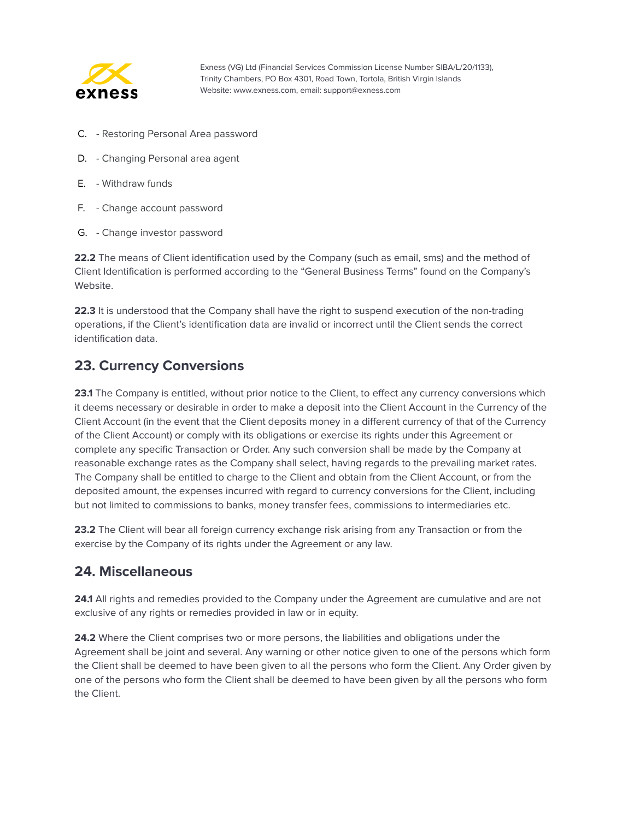

- C. Restoring Personal Area password
- D. Changing Personal area agent
- E. Withdraw funds
- F. Change account password
- G. Change investor password

**22.2** The means of Client identification used by the Company (such as email, sms) and the method of Client Identification is performed according to the "General Business Terms" found on the Company's Website.

**22.3** It is understood that the Company shall have the right to suspend execution of the non-trading operations, if the Client's identification data are invalid or incorrect until the Client sends the correct identification data.

#### <span id="page-27-0"></span>**23. Currency Conversions**

**23.1** The Company is entitled, without prior notice to the Client, to effect any currency conversions which it deems necessary or desirable in order to make a deposit into the Client Account in the Currency of the Client Account (in the event that the Client deposits money in a different currency of that of the Currency of the Client Account) or comply with its obligations or exercise its rights under this Agreement or complete any specific Transaction or Order. Any such conversion shall be made by the Company at reasonable exchange rates as the Company shall select, having regards to the prevailing market rates. The Company shall be entitled to charge to the Client and obtain from the Client Account, or from the deposited amount, the expenses incurred with regard to currency conversions for the Client, including but not limited to commissions to banks, money transfer fees, commissions to intermediaries etc.

**23.2** The Client will bear all foreign currency exchange risk arising from any Transaction or from the exercise by the Company of its rights under the Agreement or any law.

#### <span id="page-27-1"></span>**24. Miscellaneous**

**24.1** All rights and remedies provided to the Company under the Agreement are cumulative and are not exclusive of any rights or remedies provided in law or in equity.

**24.2** Where the Client comprises two or more persons, the liabilities and obligations under the Agreement shall be joint and several. Any warning or other notice given to one of the persons which form the Client shall be deemed to have been given to all the persons who form the Client. Any Order given by one of the persons who form the Client shall be deemed to have been given by all the persons who form the Client.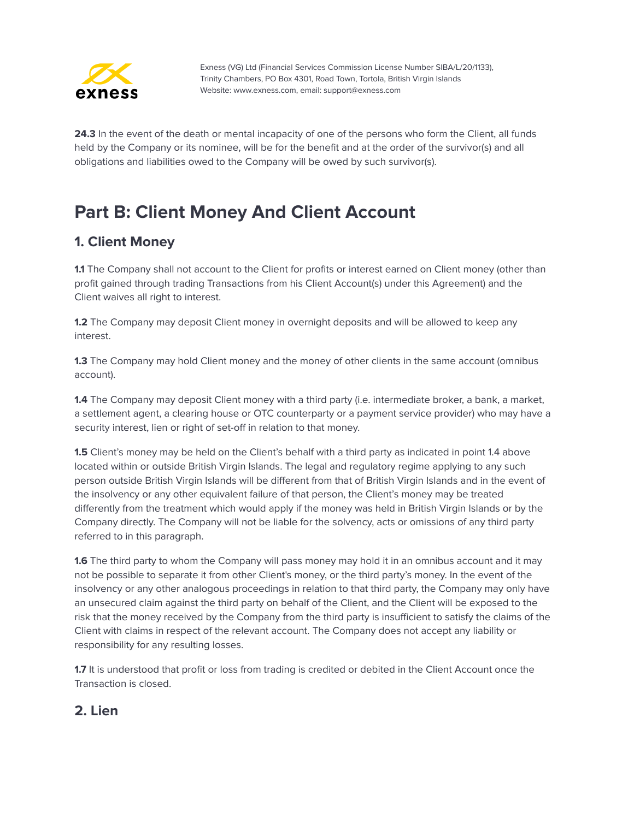

**24.3** In the event of the death or mental incapacity of one of the persons who form the Client, all funds held by the Company or its nominee, will be for the benefit and at the order of the survivor(s) and all obligations and liabilities owed to the Company will be owed by such survivor(s).

## <span id="page-28-0"></span>**Part B: Client Money And Client Account**

#### <span id="page-28-1"></span>**1. Client Money**

**1.1** The Company shall not account to the Client for profits or interest earned on Client money (other than profit gained through trading Transactions from his Client Account(s) under this Agreement) and the Client waives all right to interest.

**1.2** The Company may deposit Client money in overnight deposits and will be allowed to keep any interest.

**1.3** The Company may hold Client money and the money of other clients in the same account (omnibus account).

**1.4** The Company may deposit Client money with a third party (i.e. intermediate broker, a bank, a market, a settlement agent, a clearing house or OTC counterparty or a payment service provider) who may have a security interest, lien or right of set-off in relation to that money.

**1.5** Client's money may be held on the Client's behalf with a third party as indicated in point 1.4 above located within or outside British Virgin Islands. The legal and regulatory regime applying to any such person outside British Virgin Islands will be different from that of British Virgin Islands and in the event of the insolvency or any other equivalent failure of that person, the Client's money may be treated differently from the treatment which would apply if the money was held in British Virgin Islands or by the Company directly. The Company will not be liable for the solvency, acts or omissions of any third party referred to in this paragraph.

**1.6** The third party to whom the Company will pass money may hold it in an omnibus account and it may not be possible to separate it from other Client's money, or the third party's money. In the event of the insolvency or any other analogous proceedings in relation to that third party, the Company may only have an unsecured claim against the third party on behalf of the Client, and the Client will be exposed to the risk that the money received by the Company from the third party is insufficient to satisfy the claims of the Client with claims in respect of the relevant account. The Company does not accept any liability or responsibility for any resulting losses.

**1.7** It is understood that profit or loss from trading is credited or debited in the Client Account once the Transaction is closed.

#### <span id="page-28-2"></span>**2. Lien**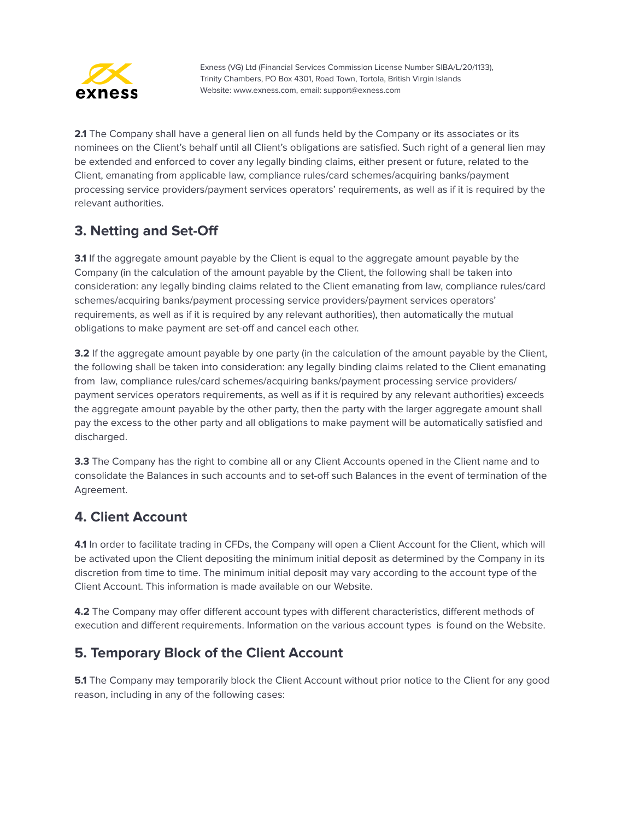

**2.1** The Company shall have a general lien on all funds held by the Company or its associates or its nominees on the Client's behalf until all Client's obligations are satisfied. Such right of a general lien may be extended and enforced to cover any legally binding claims, either present or future, related to the Client, emanating from applicable law, compliance rules/card schemes/acquiring banks/payment processing service providers/payment services operators' requirements, as well as if it is required by the relevant authorities.

## <span id="page-29-0"></span>**3. Netting and Set-Off**

**3.1** If the aggregate amount payable by the Client is equal to the aggregate amount payable by the Company (in the calculation of the amount payable by the Client, the following shall be taken into consideration: any legally binding claims related to the Client emanating from law, compliance rules/card schemes/acquiring banks/payment processing service providers/payment services operators' requirements, as well as if it is required by any relevant authorities), then automatically the mutual obligations to make payment are set-off and cancel each other.

**3.2** If the aggregate amount payable by one party (in the calculation of the amount payable by the Client, the following shall be taken into consideration: any legally binding claims related to the Client emanating from law, compliance rules/card schemes/acquiring banks/payment processing service providers/ payment services operators requirements, as well as if it is required by any relevant authorities) exceeds the aggregate amount payable by the other party, then the party with the larger aggregate amount shall pay the excess to the other party and all obligations to make payment will be automatically satisfied and discharged.

**3.3** The Company has the right to combine all or any Client Accounts opened in the Client name and to consolidate the Balances in such accounts and to set-off such Balances in the event of termination of the Agreement.

## <span id="page-29-1"></span>**4. Client Account**

**4.1** In order to facilitate trading in CFDs, the Company will open a Client Account for the Client, which will be activated upon the Client depositing the minimum initial deposit as determined by the Company in its discretion from time to time. The minimum initial deposit may vary according to the account type of the Client Account. This information is made available on our Website.

**4.2** The Company may offer different account types with different characteristics, different methods of execution and different requirements. Information on the various account types is found on the Website.

#### <span id="page-29-2"></span>**5. Temporary Block of the Client Account**

**5.1** The Company may temporarily block the Client Account without prior notice to the Client for any good reason, including in any of the following cases: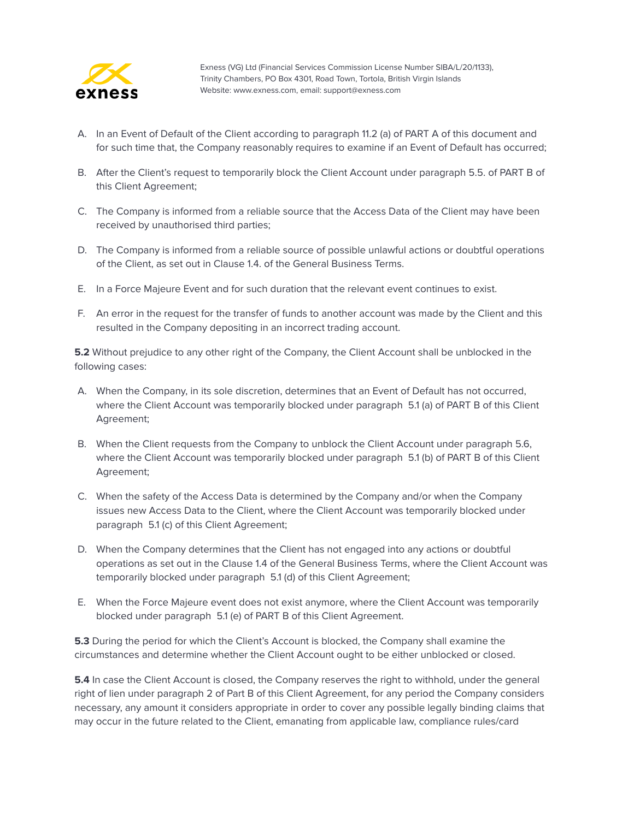

- A. In an Event of Default of the Client according to paragraph 11.2 (a) of PART A of this document and for such time that, the Company reasonably requires to examine if an Event of Default has occurred;
- B. After the Client's request to temporarily block the Client Account under paragraph 5.5. of PART B of this Client Agreement;
- C. The Company is informed from a reliable source that the Access Data of the Client may have been received by unauthorised third parties;
- D. The Company is informed from a reliable source of possible unlawful actions or doubtful operations of the Client, as set out in Clause 1.4. of the General Business Terms.
- E. In a Force Majeure Event and for such duration that the relevant event continues to exist.
- F. An error in the request for the transfer of funds to another account was made by the Client and this resulted in the Company depositing in an incorrect trading account.

**5.2** Without prejudice to any other right of the Company, the Client Account shall be unblocked in the following cases:

- A. When the Company, in its sole discretion, determines that an Event of Default has not occurred, where the Client Account was temporarily blocked under paragraph 5.1 (a) of PART B of this Client Agreement;
- B. When the Client requests from the Company to unblock the Client Account under paragraph 5.6, where the Client Account was temporarily blocked under paragraph 5.1 (b) of PART B of this Client Agreement;
- C. When the safety of the Access Data is determined by the Company and/or when the Company issues new Access Data to the Client, where the Client Account was temporarily blocked under paragraph 5.1 (c) of this Client Agreement;
- D. When the Company determines that the Client has not engaged into any actions or doubtful operations as set out in the Clause 1.4 of the General Business Terms, where the Client Account was temporarily blocked under paragraph 5.1 (d) of this Client Agreement;
- E. When the Force Majeure event does not exist anymore, where the Client Account was temporarily blocked under paragraph 5.1 (e) of PART B of this Client Agreement.

**5.3** During the period for which the Client's Account is blocked, the Company shall examine the circumstances and determine whether the Client Account ought to be either unblocked or closed.

**5.4** In case the Client Account is closed, the Company reserves the right to withhold, under the general right of lien under paragraph 2 of Part B of this Client Agreement, for any period the Company considers necessary, any amount it considers appropriate in order to cover any possible legally binding claims that may occur in the future related to the Client, emanating from applicable law, compliance rules/card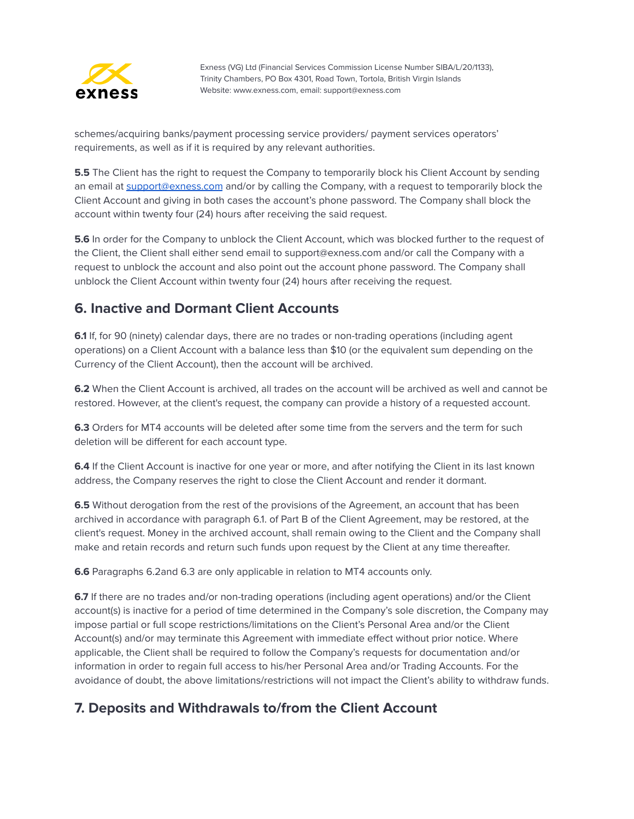

schemes/acquiring banks/payment processing service providers/ payment services operators' requirements, as well as if it is required by any relevant authorities.

**5.5** The Client has the right to request the Company to temporarily block his Client Account by sending an email at [support@exness.com](mailto:support@exness.com) and/or by calling the Company, with a request to temporarily block the Client Account and giving in both cases the account's phone password. The Company shall block the account within twenty four (24) hours after receiving the said request.

**5.6** In order for the Company to unblock the Client Account, which was blocked further to the request of the Client, the Client shall either send email to support@exness.com and/or call the Company with a request to unblock the account and also point out the account phone password. The Company shall unblock the Client Account within twenty four (24) hours after receiving the request.

#### <span id="page-31-0"></span>**6. Inactive and Dormant Client Accounts**

**6.1** If, for 90 (ninety) calendar days, there are no trades or non-trading operations (including agent operations) on a Client Account with a balance less than \$10 (or the equivalent sum depending on the Currency of the Client Account), then the account will be archived.

**6.2** When the Client Account is archived, all trades on the account will be archived as well and cannot be restored. However, at the client's request, the company can provide a history of a requested account.

**6.3** Orders for MT4 accounts will be deleted after some time from the servers and the term for such deletion will be different for each account type.

**6.4** If the Client Account is inactive for one year or more, and after notifying the Client in its last known address, the Company reserves the right to close the Client Account and render it dormant.

**6.5** Without derogation from the rest of the provisions of the Agreement, an account that has been archived in accordance with paragraph 6.1. of Part B of the Client Agreement, may be restored, at the client's request. Money in the archived account, shall remain owing to the Client and the Company shall make and retain records and return such funds upon request by the Client at any time thereafter.

**6.6** Paragraphs 6.2and 6.3 are only applicable in relation to MT4 accounts only.

**6.7** If there are no trades and/or non-trading operations (including agent operations) and/or the Client account(s) is inactive for a period of time determined in the Company's sole discretion, the Company may impose partial or full scope restrictions/limitations on the Client's Personal Area and/or the Client Account(s) and/or may terminate this Agreement with immediate effect without prior notice. Where applicable, the Client shall be required to follow the Company's requests for documentation and/or information in order to regain full access to his/her Personal Area and/or Trading Accounts. For the avoidance of doubt, the above limitations/restrictions will not impact the Client's ability to withdraw funds.

## <span id="page-31-1"></span>**7. Deposits and Withdrawals to/from the Client Account**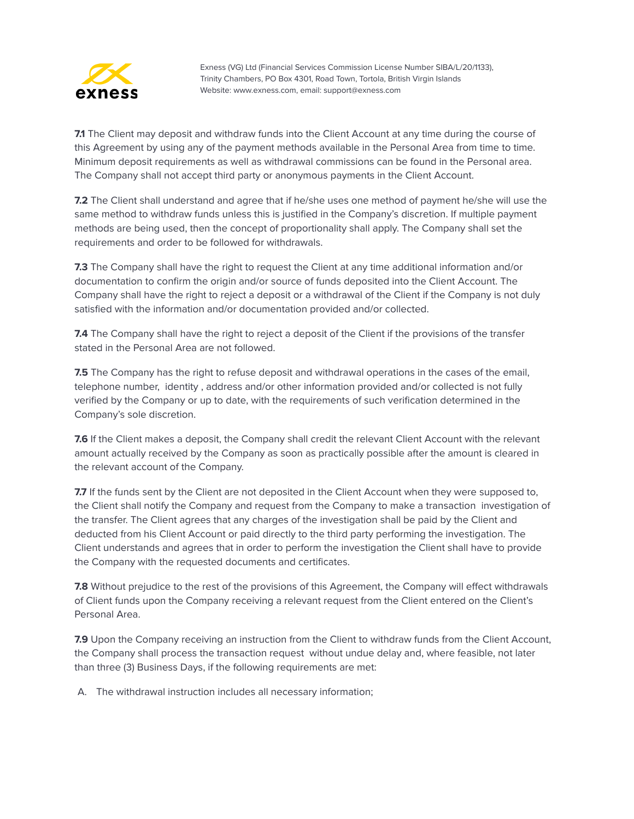

**7.1** The Client may deposit and withdraw funds into the Client Account at any time during the course of this Agreement by using any of the payment methods available in the Personal Area from time to time. Minimum deposit requirements as well as withdrawal commissions can be found in the Personal area. The Company shall not accept third party or anonymous payments in the Client Account.

**7.2** The Client shall understand and agree that if he/she uses one method of payment he/she will use the same method to withdraw funds unless this is justified in the Company's discretion. If multiple payment methods are being used, then the concept of proportionality shall apply. The Company shall set the requirements and order to be followed for withdrawals.

**7.3** The Company shall have the right to request the Client at any time additional information and/or documentation to confirm the origin and/or source of funds deposited into the Client Account. The Company shall have the right to reject a deposit or a withdrawal of the Client if the Company is not duly satisfied with the information and/or documentation provided and/or collected.

**7.4** The Company shall have the right to reject a deposit of the Client if the provisions of the transfer stated in the Personal Area are not followed.

**7.5** The Company has the right to refuse deposit and withdrawal operations in the cases of the email, telephone number, identity , address and/or other information provided and/or collected is not fully verified by the Company or up to date, with the requirements of such verification determined in the Company's sole discretion.

**7.6** If the Client makes a deposit, the Company shall credit the relevant Client Account with the relevant amount actually received by the Company as soon as practically possible after the amount is cleared in the relevant account of the Company.

**7.7** If the funds sent by the Client are not deposited in the Client Account when they were supposed to, the Client shall notify the Company and request from the Company to make a transaction investigation of the transfer. The Client agrees that any charges of the investigation shall be paid by the Client and deducted from his Client Account or paid directly to the third party performing the investigation. The Client understands and agrees that in order to perform the investigation the Client shall have to provide the Company with the requested documents and certificates.

**7.8** Without prejudice to the rest of the provisions of this Agreement, the Company will effect withdrawals of Client funds upon the Company receiving a relevant request from the Client entered on the Client's Personal Area.

**7.9** Upon the Company receiving an instruction from the Client to withdraw funds from the Client Account, the Company shall process the transaction request without undue delay and, where feasible, not later than three (3) Business Days, if the following requirements are met:

A. The withdrawal instruction includes all necessary information;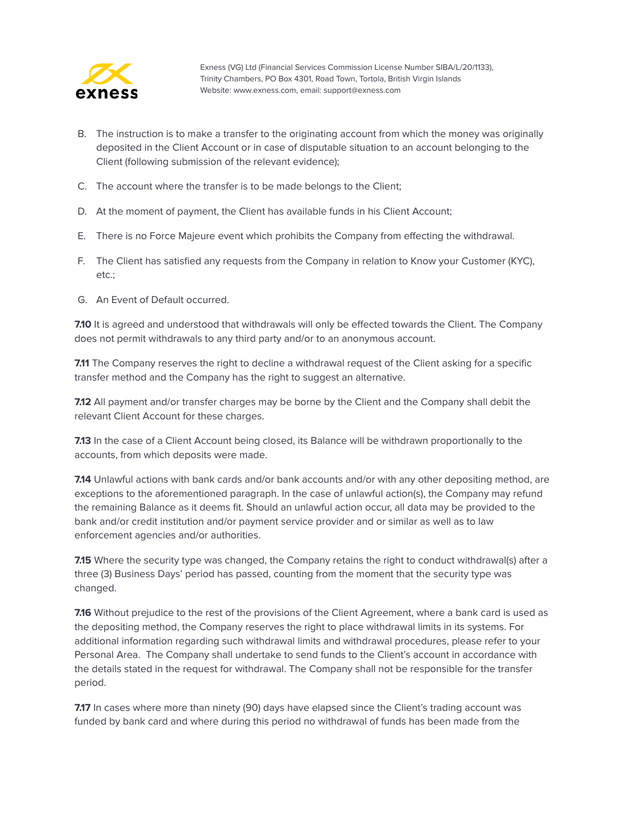

- B. The instruction is to make a transfer to the originating account from which the money was originally deposited in the Client Account or in case of disputable situation to an account belonging to the Client (following submission of the relevant evidence);
- C. The account where the transfer is to be made belongs to the Client;
- D. At the moment of payment, the Client has available funds in his Client Account;
- E. There is no Force Majeure event which prohibits the Company from effecting the withdrawal.
- F. The Client has satisfied any requests from the Company in relation to Know your Customer (KYC), etc.;
- G. An Event of Default occurred.

**7.10** It is agreed and understood that withdrawals will only be effected towards the Client. The Company does not permit withdrawals to any third party and/or to an anonymous account.

**7.11** The Company reserves the right to decline a withdrawal request of the Client asking for a specific transfer method and the Company has the right to suggest an alternative.

**7.12** All payment and/or transfer charges may be borne by the Client and the Company shall debit the relevant Client Account for these charges.

**7.13** In the case of a Client Account being closed, its Balance will be withdrawn proportionally to the accounts, from which deposits were made.

**7.14** Unlawful actions with bank cards and/or bank accounts and/or with any other depositing method, are exceptions to the aforementioned paragraph. In the case of unlawful action(s), the Company may refund the remaining Balance as it deems fit. Should an unlawful action occur, all data may be provided to the bank and/or credit institution and/or payment service provider and or similar as well as to law enforcement agencies and/or authorities.

**7.15** Where the security type was changed, the Company retains the right to conduct withdrawal(s) after a three (3) Business Days' period has passed, counting from the moment that the security type was changed.

**7.16** Without prejudice to the rest of the provisions of the Client Agreement, where a bank card is used as the depositing method, the Company reserves the right to place withdrawal limits in its systems. For additional information regarding such withdrawal limits and withdrawal procedures, please refer to your Personal Area. The Company shall undertake to send funds to the Client's account in accordance with the details stated in the request for withdrawal. The Company shall not be responsible for the transfer period.

**7.17** In cases where more than ninety (90) days have elapsed since the Client's trading account was funded by bank card and where during this period no withdrawal of funds has been made from the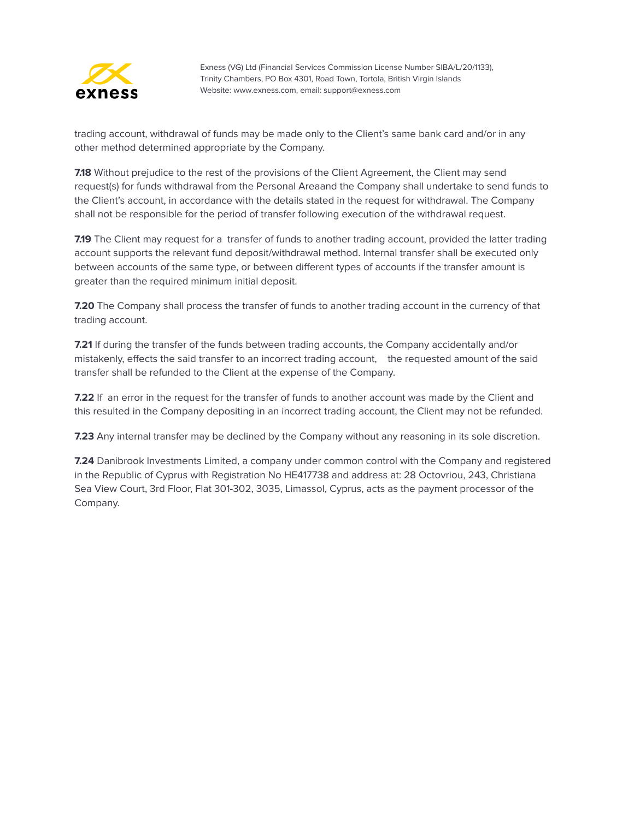

trading account, withdrawal of funds may be made only to the Client's same bank card and/or in any other method determined appropriate by the Company.

**7.18** Without prejudice to the rest of the provisions of the Client Agreement, the Client may send request(s) for funds withdrawal from the Personal Areaand the Company shall undertake to send funds to the Client's account, in accordance with the details stated in the request for withdrawal. The Company shall not be responsible for the period of transfer following execution of the withdrawal request.

**7.19** The Client may request for a transfer of funds to another trading account, provided the latter trading account supports the relevant fund deposit/withdrawal method. Internal transfer shall be executed only between accounts of the same type, or between different types of accounts if the transfer amount is greater than the required minimum initial deposit.

**7.20** The Company shall process the transfer of funds to another trading account in the currency of that trading account.

**7.21** If during the transfer of the funds between trading accounts, the Company accidentally and/or mistakenly, effects the said transfer to an incorrect trading account, the requested amount of the said transfer shall be refunded to the Client at the expense of the Company.

**7.22** If an error in the request for the transfer of funds to another account was made by the Client and this resulted in the Company depositing in an incorrect trading account, the Client may not be refunded.

**7.23** Any internal transfer may be declined by the Company without any reasoning in its sole discretion.

**7.24** Danibrook Investments Limited, a company under common control with the Company and registered in the Republic of Cyprus with Registration No HE417738 and address at: 28 [Octovriou,](https://exness.myzygos.com/contacts/edit/204) 243, Christiana Sea View Court, 3rd Floor, Flat 301-302, 3035, [Limassol,](https://exness.myzygos.com/contacts/edit/204) Cyprus, acts as the payment processor of the Company.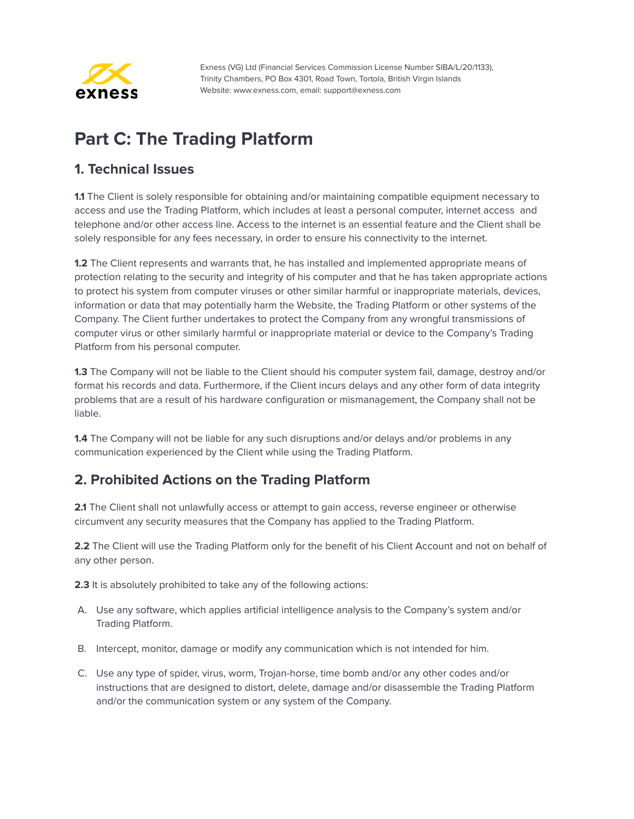

# <span id="page-35-0"></span>**Part C: The Trading Platform**

#### <span id="page-35-1"></span>**1. Technical Issues**

**1.1** The Client is solely responsible for obtaining and/or maintaining compatible equipment necessary to access and use the Trading Platform, which includes at least a personal computer, internet access and telephone and/or other access line. Access to the internet is an essential feature and the Client shall be solely responsible for any fees necessary, in order to ensure his connectivity to the internet.

**1.2** The Client represents and warrants that, he has installed and implemented appropriate means of protection relating to the security and integrity of his computer and that he has taken appropriate actions to protect his system from computer viruses or other similar harmful or inappropriate materials, devices, information or data that may potentially harm the Website, the Trading Platform or other systems of the Company. The Client further undertakes to protect the Company from any wrongful transmissions of computer virus or other similarly harmful or inappropriate material or device to the Company's Trading Platform from his personal computer.

**1.3** The Company will not be liable to the Client should his computer system fail, damage, destroy and/or format his records and data. Furthermore, if the Client incurs delays and any other form of data integrity problems that are a result of his hardware configuration or mismanagement, the Company shall not be liable.

**1.4** The Company will not be liable for any such disruptions and/or delays and/or problems in any communication experienced by the Client while using the Trading Platform.

## <span id="page-35-2"></span>**2. Prohibited Actions on the Trading Platform**

**2.1** The Client shall not unlawfully access or attempt to gain access, reverse engineer or otherwise circumvent any security measures that the Company has applied to the Trading Platform.

**2.2** The Client will use the Trading Platform only for the benefit of his Client Account and not on behalf of any other person.

**2.3** It is absolutely prohibited to take any of the following actions:

- A. Use any software, which applies artificial intelligence analysis to the Company's system and/or Trading Platform.
- B. Intercept, monitor, damage or modify any communication which is not intended for him.
- C. Use any type of spider, virus, worm, Trojan-horse, time bomb and/or any other codes and/or instructions that are designed to distort, delete, damage and/or disassemble the Trading Platform and/or the communication system or any system of the Company.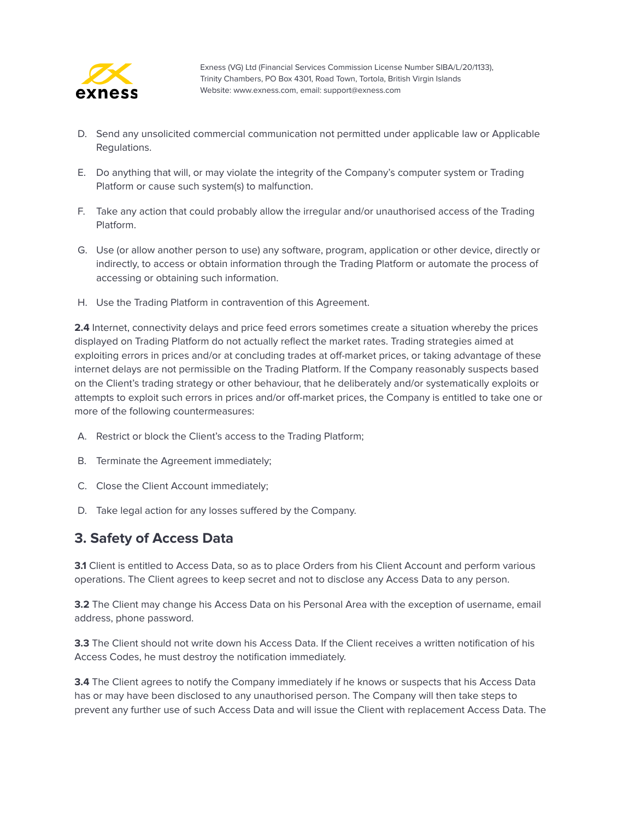

- D. Send any unsolicited commercial communication not permitted under applicable law or Applicable Regulations.
- E. Do anything that will, or may violate the integrity of the Company's computer system or Trading Platform or cause such system(s) to malfunction.
- F. Take any action that could probably allow the irregular and/or unauthorised access of the Trading Platform.
- G. Use (or allow another person to use) any software, program, application or other device, directly or indirectly, to access or obtain information through the Trading Platform or automate the process of accessing or obtaining such information.
- H. Use the Trading Platform in contravention of this Agreement.

**2.4** Internet, connectivity delays and price feed errors sometimes create a situation whereby the prices displayed on Trading Platform do not actually reflect the market rates. Trading strategies aimed at exploiting errors in prices and/or at concluding trades at off-market prices, or taking advantage of these internet delays are not permissible on the Trading Platform. If the Company reasonably suspects based on the Client's trading strategy or other behaviour, that he deliberately and/or systematically exploits or attempts to exploit such errors in prices and/or off-market prices, the Company is entitled to take one or more of the following countermeasures:

- A. Restrict or block the Client's access to the Trading Platform;
- B. Terminate the Agreement immediately;
- C. Close the Client Account immediately;
- D. Take legal action for any losses suffered by the Company.

#### <span id="page-36-0"></span>**3. Safety of Access Data**

**3.1** Client is entitled to Access Data, so as to place Orders from his Client Account and perform various operations. The Client agrees to keep secret and not to disclose any Access Data to any person.

**3.2** The Client may change his Access Data on his Personal Area with the exception of username, email address, phone password.

**3.3** The Client should not write down his Access Data. If the Client receives a written notification of his Access Codes, he must destroy the notification immediately.

**3.4** The Client agrees to notify the Company immediately if he knows or suspects that his Access Data has or may have been disclosed to any unauthorised person. The Company will then take steps to prevent any further use of such Access Data and will issue the Client with replacement Access Data. The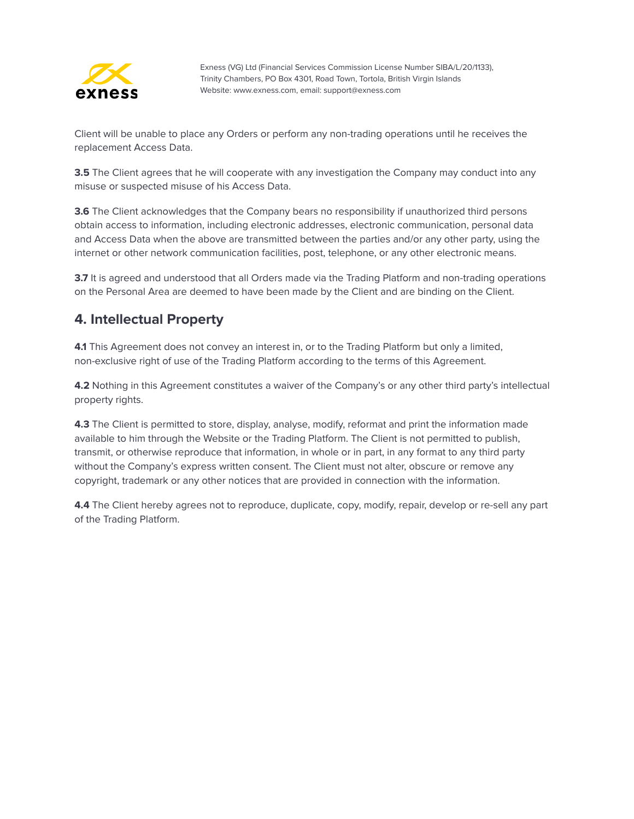

Client will be unable to place any Orders or perform any non-trading operations until he receives the replacement Access Data.

**3.5** The Client agrees that he will cooperate with any investigation the Company may conduct into any misuse or suspected misuse of his Access Data.

**3.6** The Client acknowledges that the Company bears no responsibility if unauthorized third persons obtain access to information, including electronic addresses, electronic communication, personal data and Access Data when the above are transmitted between the parties and/or any other party, using the internet or other network communication facilities, post, telephone, or any other electronic means.

**3.7** It is agreed and understood that all Orders made via the Trading Platform and non-trading operations on the Personal Area are deemed to have been made by the Client and are binding on the Client.

#### <span id="page-37-0"></span>**4. Intellectual Property**

**4.1** This Agreement does not convey an interest in, or to the Trading Platform but only a limited, non-exclusive right of use of the Trading Platform according to the terms of this Agreement.

**4.2** Nothing in this Agreement constitutes a waiver of the Company's or any other third party's intellectual property rights.

**4.3** The Client is permitted to store, display, analyse, modify, reformat and print the information made available to him through the Website or the Trading Platform. The Client is not permitted to publish, transmit, or otherwise reproduce that information, in whole or in part, in any format to any third party without the Company's express written consent. The Client must not alter, obscure or remove any copyright, trademark or any other notices that are provided in connection with the information.

**4.4** The Client hereby agrees not to reproduce, duplicate, copy, modify, repair, develop or re-sell any part of the Trading Platform.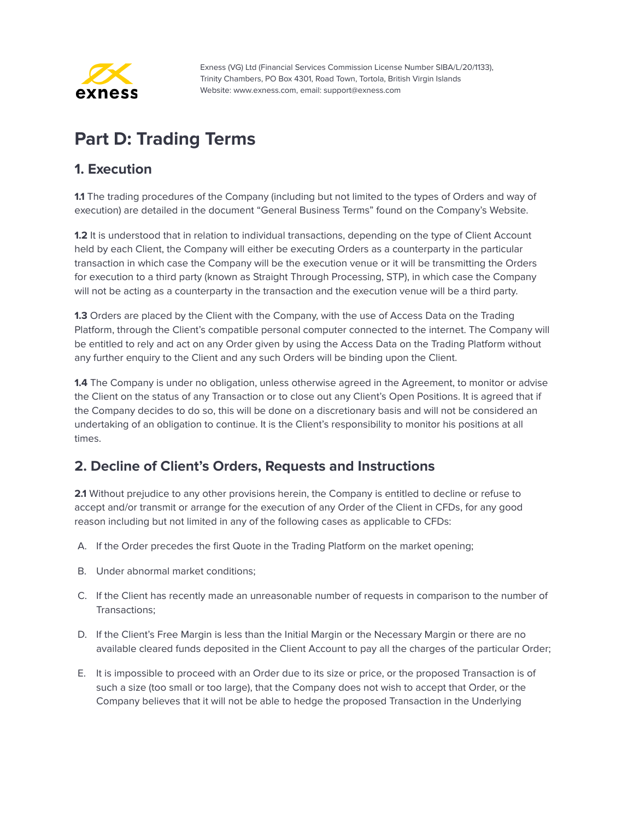

# <span id="page-38-0"></span>**Part D: Trading Terms**

#### <span id="page-38-1"></span>**1. Execution**

**1.1** The trading procedures of the Company (including but not limited to the types of Orders and way of execution) are detailed in the document "General Business Terms" found on the Company's Website.

**1.2** It is understood that in relation to individual transactions, depending on the type of Client Account held by each Client, the Company will either be executing Orders as a counterparty in the particular transaction in which case the Company will be the execution venue or it will be transmitting the Orders for execution to a third party (known as Straight Through Processing, STP), in which case the Company will not be acting as a counterparty in the transaction and the execution venue will be a third party.

**1.3** Orders are placed by the Client with the Company, with the use of Access Data on the Trading Platform, through the Client's compatible personal computer connected to the internet. The Company will be entitled to rely and act on any Order given by using the Access Data on the Trading Platform without any further enquiry to the Client and any such Orders will be binding upon the Client.

**1.4** The Company is under no obligation, unless otherwise agreed in the Agreement, to monitor or advise the Client on the status of any Transaction or to close out any Client's Open Positions. It is agreed that if the Company decides to do so, this will be done on a discretionary basis and will not be considered an undertaking of an obligation to continue. It is the Client's responsibility to monitor his positions at all times.

#### <span id="page-38-2"></span>**2. Decline of Client's Orders, Requests and Instructions**

**2.1** Without prejudice to any other provisions herein, the Company is entitled to decline or refuse to accept and/or transmit or arrange for the execution of any Order of the Client in CFDs, for any good reason including but not limited in any of the following cases as applicable to CFDs:

- A. If the Order precedes the first Quote in the Trading Platform on the market opening;
- B. Under abnormal market conditions;
- C. If the Client has recently made an unreasonable number of requests in comparison to the number of Transactions;
- D. If the Client's Free Margin is less than the Initial Margin or the Necessary Margin or there are no available cleared funds deposited in the Client Account to pay all the charges of the particular Order;
- E. It is impossible to proceed with an Order due to its size or price, or the proposed Transaction is of such a size (too small or too large), that the Company does not wish to accept that Order, or the Company believes that it will not be able to hedge the proposed Transaction in the Underlying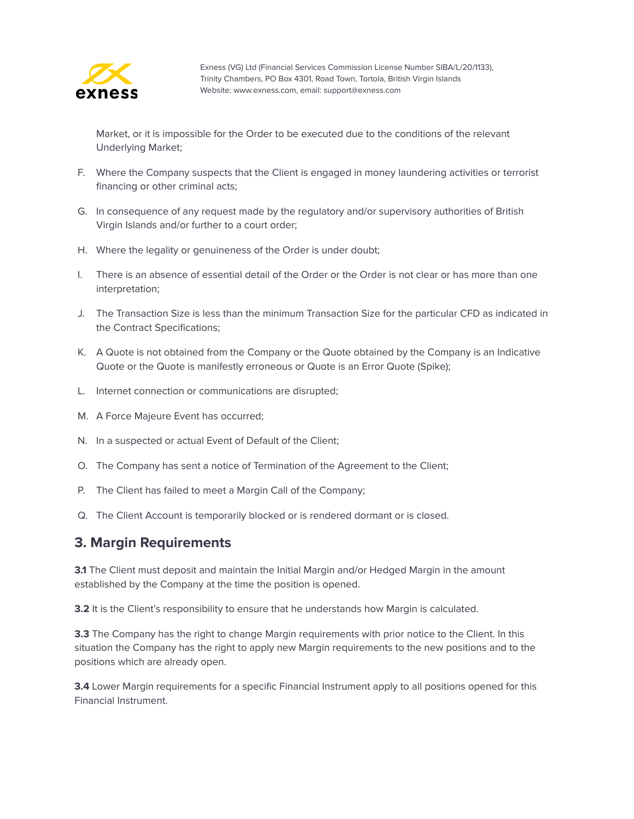

Market, or it is impossible for the Order to be executed due to the conditions of the relevant Underlying Market;

- F. Where the Company suspects that the Client is engaged in money laundering activities or terrorist financing or other criminal acts;
- G. In consequence of any request made by the regulatory and/or supervisory authorities of British Virgin Islands and/or further to a court order;
- H. Where the legality or genuineness of the Order is under doubt;
- I. There is an absence of essential detail of the Order or the Order is not clear or has more than one interpretation;
- J. The Transaction Size is less than the minimum Transaction Size for the particular CFD as indicated in the Contract Specifications;
- K. A Quote is not obtained from the Company or the Quote obtained by the Company is an Indicative Quote or the Quote is manifestly erroneous or Quote is an Error Quote (Spike);
- L. Internet connection or communications are disrupted;
- M. A Force Majeure Event has occurred;
- N. In a suspected or actual Event of Default of the Client;
- O. The Company has sent a notice of Termination of the Agreement to the Client;
- P. The Client has failed to meet a Margin Call of the Company;
- Q. The Client Account is temporarily blocked or is rendered dormant or is closed.

#### <span id="page-39-0"></span>**3. Margin Requirements**

**3.1** The Client must deposit and maintain the Initial Margin and/or Hedged Margin in the amount established by the Company at the time the position is opened.

**3.2** It is the Client's responsibility to ensure that he understands how Margin is calculated.

**3.3** The Company has the right to change Margin requirements with prior notice to the Client. In this situation the Company has the right to apply new Margin requirements to the new positions and to the positions which are already open.

**3.4** Lower Margin requirements for a specific Financial Instrument apply to all positions opened for this Financial Instrument.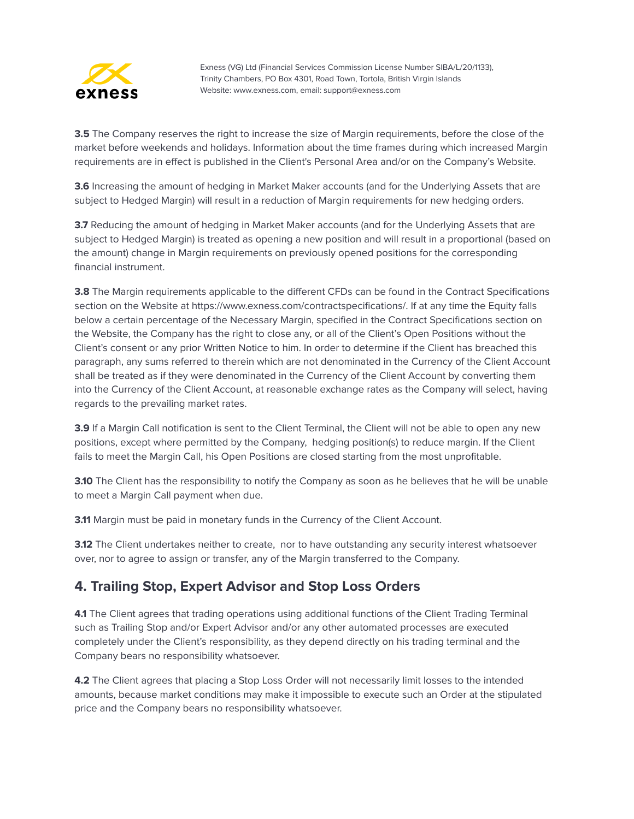

**3.5** The Company reserves the right to increase the size of Margin requirements, before the close of the market before weekends and holidays. Information about the time frames during which increased Margin requirements are in effect is published in the Client's Personal Area and/or on the Company's Website.

**3.6** Increasing the amount of hedging in Market Maker accounts (and for the Underlying Assets that are subject to Hedged Margin) will result in a reduction of Margin requirements for new hedging orders.

**3.7** Reducing the amount of hedging in Market Maker accounts (and for the Underlying Assets that are subject to Hedged Margin) is treated as opening a new position and will result in a proportional (based on the amount) change in Margin requirements on previously opened positions for the corresponding financial instrument.

**3.8** The Margin requirements applicable to the different CFDs can be found in the Contract Specifications section on the Website at https://www.exness.com/contractspecifications/. If at any time the Equity falls below a certain percentage of the Necessary Margin, specified in the Contract Specifications section on the Website, the Company has the right to close any, or all of the Client's Open Positions without the Client's consent or any prior Written Notice to him. In order to determine if the Client has breached this paragraph, any sums referred to therein which are not denominated in the Currency of the Client Account shall be treated as if they were denominated in the Currency of the Client Account by converting them into the Currency of the Client Account, at reasonable exchange rates as the Company will select, having regards to the prevailing market rates.

**3.9** If a Margin Call notification is sent to the Client Terminal, the Client will not be able to open any new positions, except where permitted by the Company, hedging position(s) to reduce margin. If the Client fails to meet the Margin Call, his Open Positions are closed starting from the most unprofitable.

**3.10** The Client has the responsibility to notify the Company as soon as he believes that he will be unable to meet a Margin Call payment when due.

**3.11** Margin must be paid in monetary funds in the Currency of the Client Account.

**3.12** The Client undertakes neither to create, nor to have outstanding any security interest whatsoever over, nor to agree to assign or transfer, any of the Margin transferred to the Company.

#### <span id="page-40-0"></span>**4. Trailing Stop, Expert Advisor and Stop Loss Orders**

**4.1** The Client agrees that trading operations using additional functions of the Client Trading Terminal such as Trailing Stop and/or Expert Advisor and/or any other automated processes are executed completely under the Client's responsibility, as they depend directly on his trading terminal and the Company bears no responsibility whatsoever.

**4.2** The Client agrees that placing a Stop Loss Order will not necessarily limit losses to the intended amounts, because market conditions may make it impossible to execute such an Order at the stipulated price and the Company bears no responsibility whatsoever.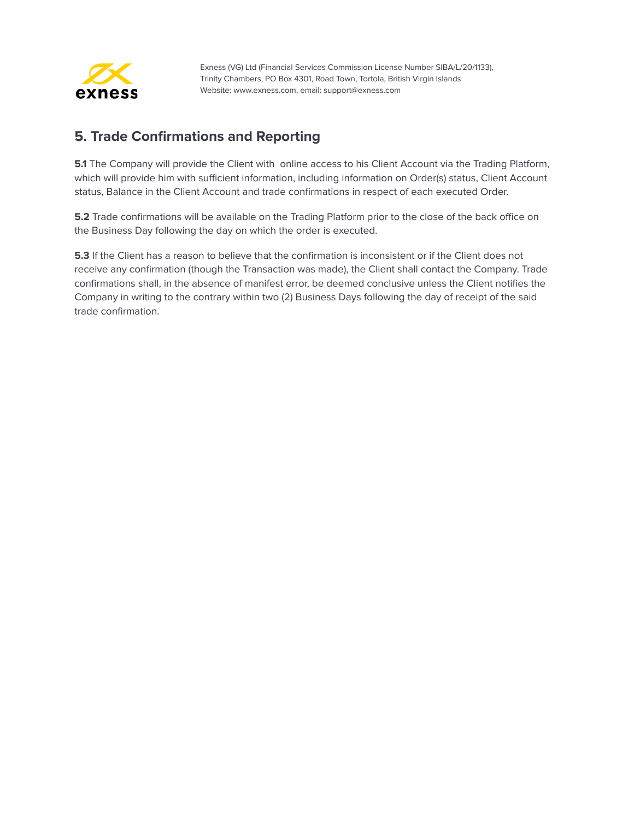

#### <span id="page-41-0"></span>**5. Trade Confirmations and Reporting**

**5.1** The Company will provide the Client with online access to his Client Account via the Trading Platform, which will provide him with sufficient information, including information on Order(s) status, Client Account status, Balance in the Client Account and trade confirmations in respect of each executed Order.

**5.2** Trade confirmations will be available on the Trading Platform prior to the close of the back office on the Business Day following the day on which the order is executed.

**5.3** If the Client has a reason to believe that the confirmation is inconsistent or if the Client does not receive any confirmation (though the Transaction was made), the Client shall contact the Company. Trade confirmations shall, in the absence of manifest error, be deemed conclusive unless the Client notifies the Company in writing to the contrary within two (2) Business Days following the day of receipt of the said trade confirmation.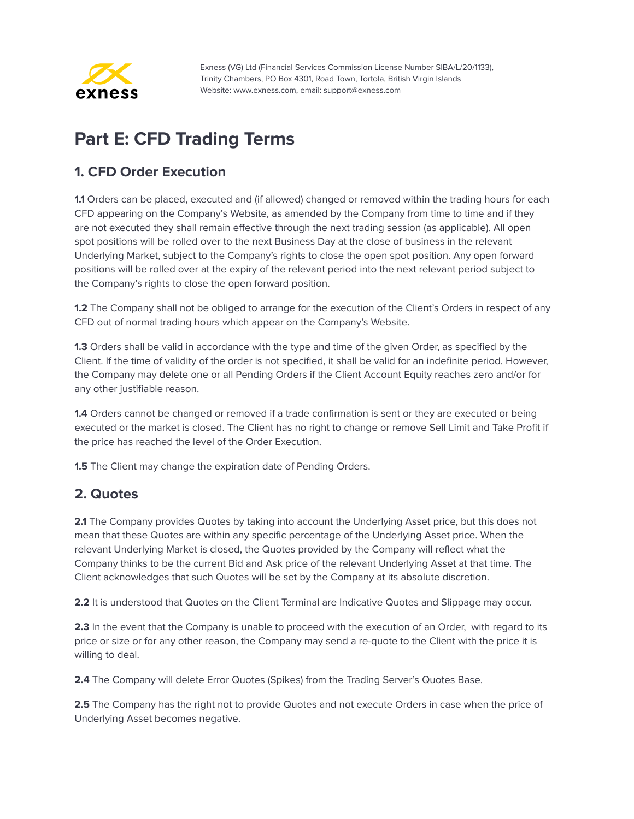

# <span id="page-42-0"></span>**Part E: CFD Trading Terms**

## <span id="page-42-1"></span>**1. CFD Order Execution**

**1.1** Orders can be placed, executed and (if allowed) changed or removed within the trading hours for each CFD appearing on the Company's Website, as amended by the Company from time to time and if they are not executed they shall remain effective through the next trading session (as applicable). All open spot positions will be rolled over to the next Business Day at the close of business in the relevant Underlying Market, subject to the Company's rights to close the open spot position. Any open forward positions will be rolled over at the expiry of the relevant period into the next relevant period subject to the Company's rights to close the open forward position.

**1.2** The Company shall not be obliged to arrange for the execution of the Client's Orders in respect of any CFD out of normal trading hours which appear on the Company's Website.

**1.3** Orders shall be valid in accordance with the type and time of the given Order, as specified by the Client. If the time of validity of the order is not specified, it shall be valid for an indefinite period. However, the Company may delete one or all Pending Orders if the Client Account Equity reaches zero and/or for any other justifiable reason.

**1.4** Orders cannot be changed or removed if a trade confirmation is sent or they are executed or being executed or the market is closed. The Client has no right to change or remove Sell Limit and Take Profit if the price has reached the level of the Order Execution.

**1.5** The Client may change the expiration date of Pending Orders.

#### <span id="page-42-2"></span>**2. Quotes**

**2.1** The Company provides Quotes by taking into account the Underlying Asset price, but this does not mean that these Quotes are within any specific percentage of the Underlying Asset price. When the relevant Underlying Market is closed, the Quotes provided by the Company will reflect what the Company thinks to be the current Bid and Ask price of the relevant Underlying Asset at that time. The Client acknowledges that such Quotes will be set by the Company at its absolute discretion.

**2.2** It is understood that Quotes on the Client Terminal are Indicative Quotes and Slippage may occur.

**2.3** In the event that the Company is unable to proceed with the execution of an Order, with regard to its price or size or for any other reason, the Company may send a re-quote to the Client with the price it is willing to deal.

**2.4** The Company will delete Error Quotes (Spikes) from the Trading Server's Quotes Base.

**2.5** The Company has the right not to provide Quotes and not execute Orders in case when the price of Underlying Asset becomes negative.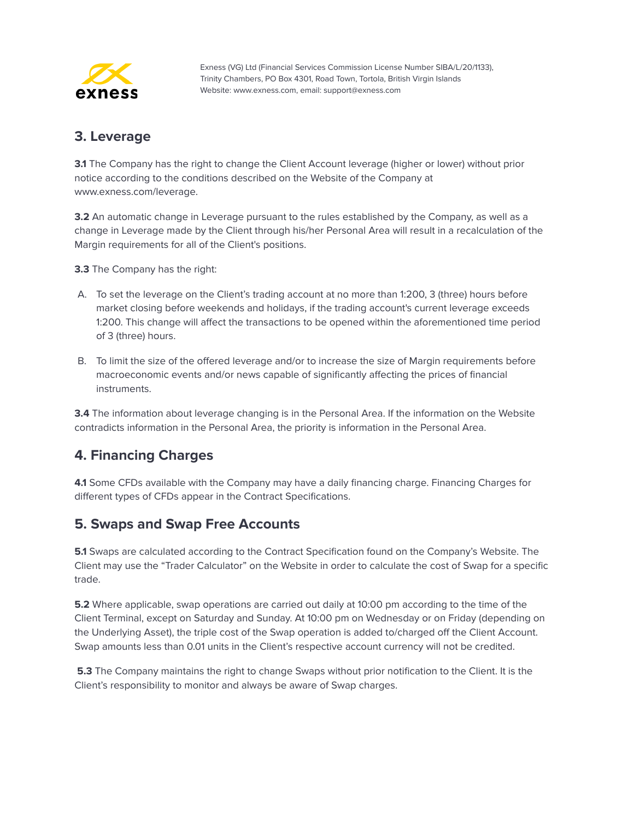

#### <span id="page-43-0"></span>**3. Leverage**

**3.1** The Company has the right to change the Client Account leverage (higher or lower) without prior notice according to the conditions described on the Website of the Company at www.exness.com/leverage.

**3.2** An automatic change in Leverage pursuant to the rules established by the Company, as well as a change in Leverage made by the Client through his/her Personal Area will result in a recalculation of the Margin requirements for all of the Client's positions.

**3.3** The Company has the right:

- A. To set the leverage on the Client's trading account at no more than 1:200, 3 (three) hours before market closing before weekends and holidays, if the trading account's current leverage exceeds 1:200. This change will affect the transactions to be opened within the aforementioned time period of 3 (three) hours.
- B. To limit the size of the offered leverage and/or to increase the size of Margin requirements before macroeconomic events and/or news capable of significantly affecting the prices of financial instruments.

**3.4** The information about leverage changing is in the Personal Area. If the information on the Website contradicts information in the Personal Area, the priority is information in the Personal Area.

#### <span id="page-43-1"></span>**4. Financing Charges**

**4.1** Some CFDs available with the Company may have a daily financing charge. Financing Charges for different types of CFDs appear in the Contract Specifications.

#### <span id="page-43-2"></span>**5. Swaps and Swap Free Accounts**

**5.1** Swaps are calculated according to the Contract Specification found on the Company's Website. The Client may use the "Trader Calculator" on the Website in order to calculate the cost of Swap for a specific trade.

**5.2** Where applicable, swap operations are carried out daily at 10:00 pm according to the time of the Client Terminal, except on Saturday and Sunday. At 10:00 pm on Wednesday or on Friday (depending on the Underlying Asset), the triple cost of the Swap operation is added to/charged off the Client Account. Swap amounts less than 0.01 units in the Client's respective account currency will not be credited.

**5.3** The Company maintains the right to change Swaps without prior notification to the Client. It is the Client's responsibility to monitor and always be aware of Swap charges.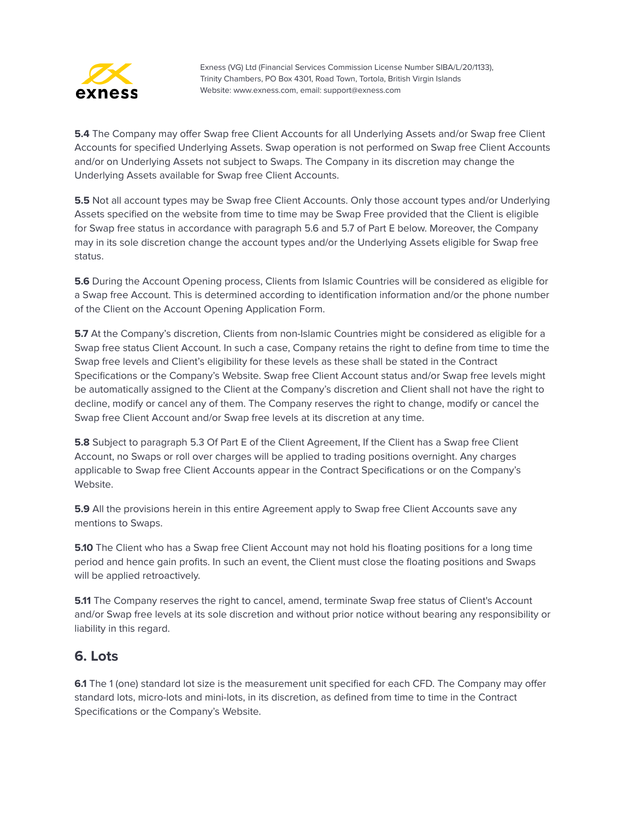

**5.4** The Company may offer Swap free Client Accounts for all Underlying Assets and/or Swap free Client Accounts for specified Underlying Assets. Swap operation is not performed on Swap free Client Accounts and/or on Underlying Assets not subject to Swaps. The Company in its discretion may change the Underlying Assets available for Swap free Client Accounts.

**5.5** Not all account types may be Swap free Client Accounts. Only those account types and/or Underlying Assets specified on the website from time to time may be Swap Free provided that the Client is eligible for Swap free status in accordance with paragraph 5.6 and 5.7 of Part E below. Moreover, the Company may in its sole discretion change the account types and/or the Underlying Assets eligible for Swap free status.

**5.6** During the Account Opening process, Clients from Islamic Countries will be considered as eligible for a Swap free Account. This is determined according to identification information and/or the phone number of the Client on the Account Opening Application Form.

**5.7** At the Company's discretion, Clients from non-Islamic Countries might be considered as eligible for a Swap free status Client Account. In such a case, Company retains the right to define from time to time the Swap free levels and Client's eligibility for these levels as these shall be stated in the Contract Specifications or the Company's Website. Swap free Client Account status and/or Swap free levels might be automatically assigned to the Client at the Company's discretion and Client shall not have the right to decline, modify or cancel any of them. The Company reserves the right to change, modify or cancel the Swap free Client Account and/or Swap free levels at its discretion at any time.

**5.8** Subject to paragraph 5.3 Of Part E of the Client Agreement, If the Client has a Swap free Client Account, no Swaps or roll over charges will be applied to trading positions overnight. Any charges applicable to Swap free Client Accounts appear in the Contract Specifications or on the Company's Website.

**5.9** All the provisions herein in this entire Agreement apply to Swap free Client Accounts save any mentions to Swaps.

**5.10** The Client who has a Swap free Client Account may not hold his floating positions for a long time period and hence gain profits. In such an event, the Client must close the floating positions and Swaps will be applied retroactively.

**5.11** The Company reserves the right to cancel, amend, terminate Swap free status of Client's Account and/or Swap free levels at its sole discretion and without prior notice without bearing any responsibility or liability in this regard.

#### <span id="page-44-0"></span>**6. Lots**

**6.1** The 1 (one) standard lot size is the measurement unit specified for each CFD. The Company may offer standard lots, micro-lots and mini-lots, in its discretion, as defined from time to time in the Contract Specifications or the Company's Website.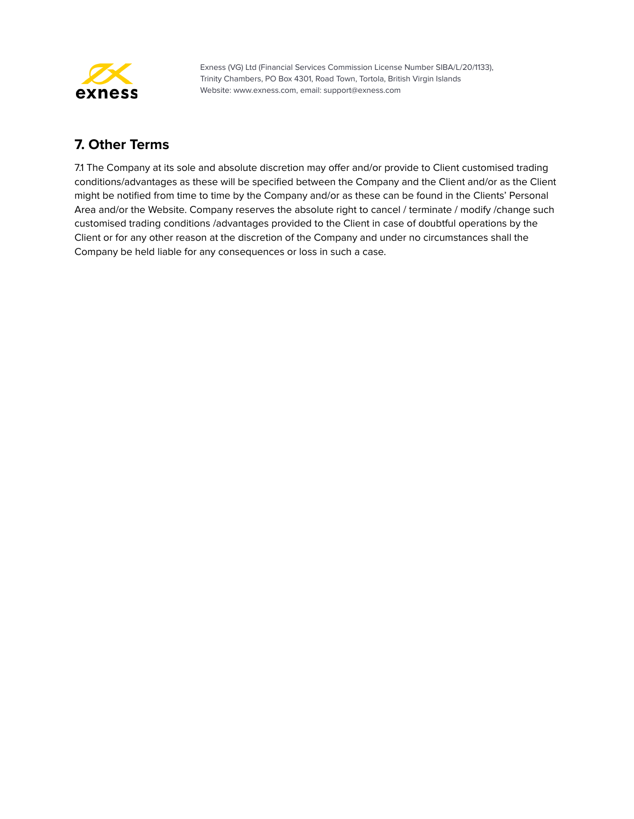

## <span id="page-45-0"></span>**7. Other Terms**

7.1 The Company at its sole and absolute discretion may offer and/or provide to Client customised trading conditions/advantages as these will be specified between the Company and the Client and/or as the Client might be notified from time to time by the Company and/or as these can be found in the Clients' Personal Area and/or the Website. Company reserves the absolute right to cancel / terminate / modify /change such customised trading conditions /advantages provided to the Client in case of doubtful operations by the Client or for any other reason at the discretion of the Company and under no circumstances shall the Company be held liable for any consequences or loss in such a case.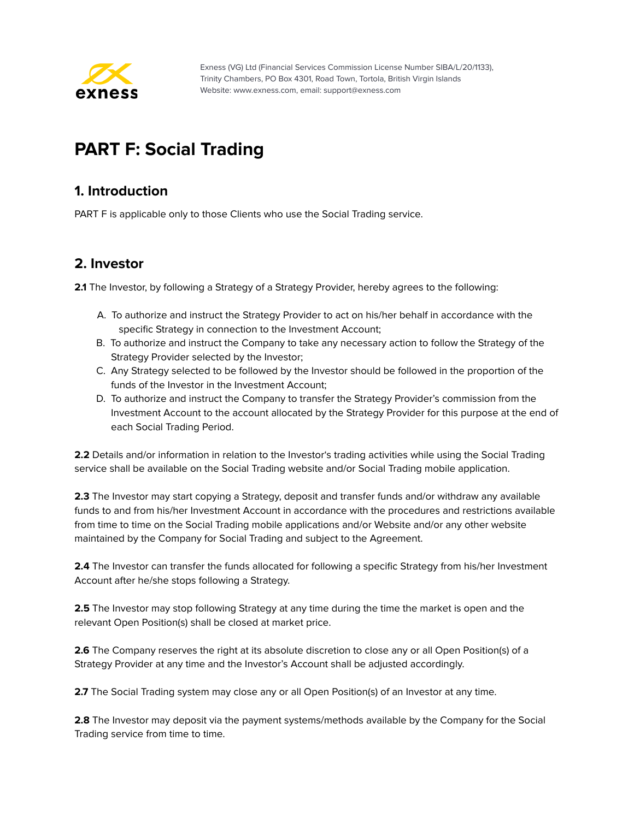

# <span id="page-46-0"></span>**PART F: Social Trading**

#### <span id="page-46-1"></span>**1. Introduction**

PART F is applicable only to those Clients who use the Social Trading service.

#### <span id="page-46-2"></span>**2. Investor**

**2.1** The Investor, by following a Strategy of a Strategy Provider, hereby agrees to the following:

- A. To authorize and instruct the Strategy Provider to act on his/her behalf in accordance with the specific Strategy in connection to the Investment Account;
- B. To authorize and instruct the Company to take any necessary action to follow the Strategy of the Strategy Provider selected by the Investor;
- C. Any Strategy selected to be followed by the Investor should be followed in the proportion of the funds of the Investor in the Investment Account;
- D. To authorize and instruct the Company to transfer the Strategy Provider's commission from the Investment Account to the account allocated by the Strategy Provider for this purpose at the end of each Social Trading Period.

**2.2** Details and/or information in relation to the Investor's trading activities while using the Social Trading service shall be available on the Social Trading website and/or Social Trading mobile application.

**2.3** The Investor may start copying a Strategy, deposit and transfer funds and/or withdraw any available funds to and from his/her Investment Account in accordance with the procedures and restrictions available from time to time on the Social Trading mobile applications and/or Website and/or any other website maintained by the Company for Social Trading and subject to the Agreement.

**2.4** The Investor can transfer the funds allocated for following a specific Strategy from his/her Investment Account after he/she stops following a Strategy.

**2.5** The Investor may stop following Strategy at any time during the time the market is open and the relevant Open Position(s) shall be closed at market price.

**2.6** The Company reserves the right at its absolute discretion to close any or all Open Position(s) of a Strategy Provider at any time and the Investor's Account shall be adjusted accordingly.

**2.7** The Social Trading system may close any or all Open Position(s) of an Investor at any time.

**2.8** The Investor may deposit via the payment systems/methods available by the Company for the Social Trading service from time to time.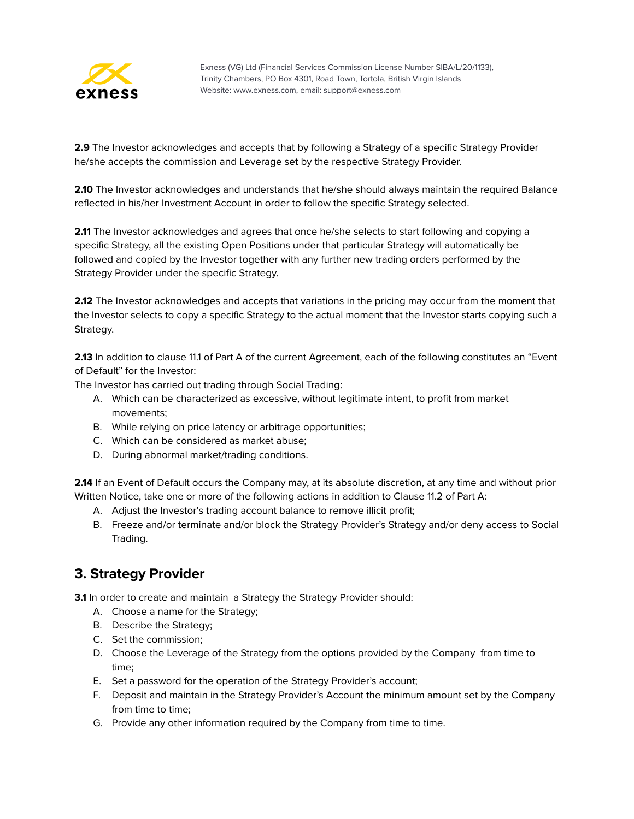

**2.9** The Investor acknowledges and accepts that by following a Strategy of a specific Strategy Provider he/she accepts the commission and Leverage set by the respective Strategy Provider.

**2.10** The Investor acknowledges and understands that he/she should always maintain the required Balance reflected in his/her Investment Account in order to follow the specific Strategy selected.

**2.11** The Investor acknowledges and agrees that once he/she selects to start following and copying a specific Strategy, all the existing Open Positions under that particular Strategy will automatically be followed and copied by the Investor together with any further new trading orders performed by the Strategy Provider under the specific Strategy.

**2.12** The Investor acknowledges and accepts that variations in the pricing may occur from the moment that the Investor selects to copy a specific Strategy to the actual moment that the Investor starts copying such a Strategy.

**2.13** In addition to clause 11.1 of Part A of the current Agreement, each of the following constitutes an "Event of Default" for the Investor:

The Investor has carried out trading through Social Trading:

- A. Which can be characterized as excessive, without legitimate intent, to profit from market movements;
- B. While relying on price latency or arbitrage opportunities;
- C. Which can be considered as market abuse;
- D. During abnormal market/trading conditions.

**2.14** If an Event of Default occurs the Company may, at its absolute discretion, at any time and without prior Written Notice, take one or more of the following actions in addition to Clause 11.2 of Part A:

- A. Adjust the Investor's trading account balance to remove illicit profit;
- B. Freeze and/or terminate and/or block the Strategy Provider's Strategy and/or deny access to Social Trading.

#### <span id="page-47-0"></span>**3. Strategy Provider**

**3.1** In order to create and maintain a Strategy the Strategy Provider should:

- A. Choose a name for the Strategy;
- B. Describe the Strategy;
- C. Set the commission;
- D. Choose the Leverage of the Strategy from the options provided by the Company from time to time;
- E. Set a password for the operation of the Strategy Provider's account;
- F. Deposit and maintain in the Strategy Provider's Account the minimum amount set by the Company from time to time;
- G. Provide any other information required by the Company from time to time.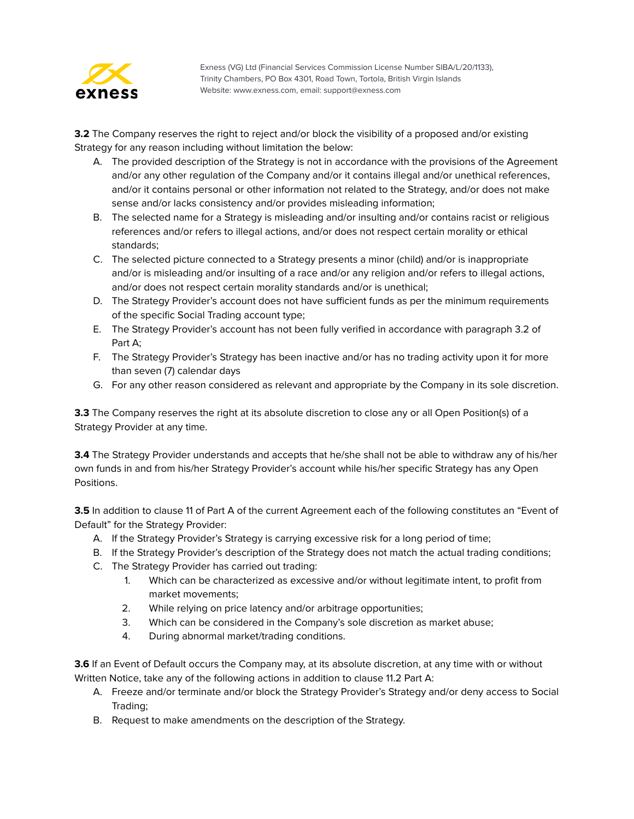

**3.2** The Company reserves the right to reject and/or block the visibility of a proposed and/or existing Strategy for any reason including without limitation the below:

- A. The provided description of the Strategy is not in accordance with the provisions of the Agreement and/or any other regulation of the Company and/or it contains illegal and/or unethical references, and/or it contains personal or other information not related to the Strategy, and/or does not make sense and/or lacks consistency and/or provides misleading information;
- B. The selected name for a Strategy is misleading and/or insulting and/or contains racist or religious references and/or refers to illegal actions, and/or does not respect certain morality or ethical standards;
- C. The selected picture connected to a Strategy presents a minor (child) and/or is inappropriate and/or is misleading and/or insulting of a race and/or any religion and/or refers to illegal actions, and/or does not respect certain morality standards and/or is unethical;
- D. The Strategy Provider's account does not have sufficient funds as per the minimum requirements of the specific Social Trading account type;
- E. The Strategy Provider's account has not been fully verified in accordance with paragraph 3.2 of Part A;
- F. The Strategy Provider's Strategy has been inactive and/or has no trading activity upon it for more than seven (7) calendar days
- G. For any other reason considered as relevant and appropriate by the Company in its sole discretion.

**3.3** The Company reserves the right at its absolute discretion to close any or all Open Position(s) of a Strategy Provider at any time.

**3.4** The Strategy Provider understands and accepts that he/she shall not be able to withdraw any of his/her own funds in and from his/her Strategy Provider's account while his/her specific Strategy has any Open Positions.

**3.5** In addition to clause 11 of Part A of the current Agreement each of the following constitutes an "Event of Default" for the Strategy Provider:

- A. If the Strategy Provider's Strategy is carrying excessive risk for a long period of time;
- B. If the Strategy Provider's description of the Strategy does not match the actual trading conditions;
- C. The Strategy Provider has carried out trading:
	- 1. Which can be characterized as excessive and/or without legitimate intent, to profit from market movements;
	- 2. While relying on price latency and/or arbitrage opportunities;
	- 3. Which can be considered in the Company's sole discretion as market abuse;
	- 4. During abnormal market/trading conditions.

**3.6** If an Event of Default occurs the Company may, at its absolute discretion, at any time with or without Written Notice, take any of the following actions in addition to clause 11.2 Part A:

- A. Freeze and/or terminate and/or block the Strategy Provider's Strategy and/or deny access to Social Trading;
- B. Request to make amendments on the description of the Strategy.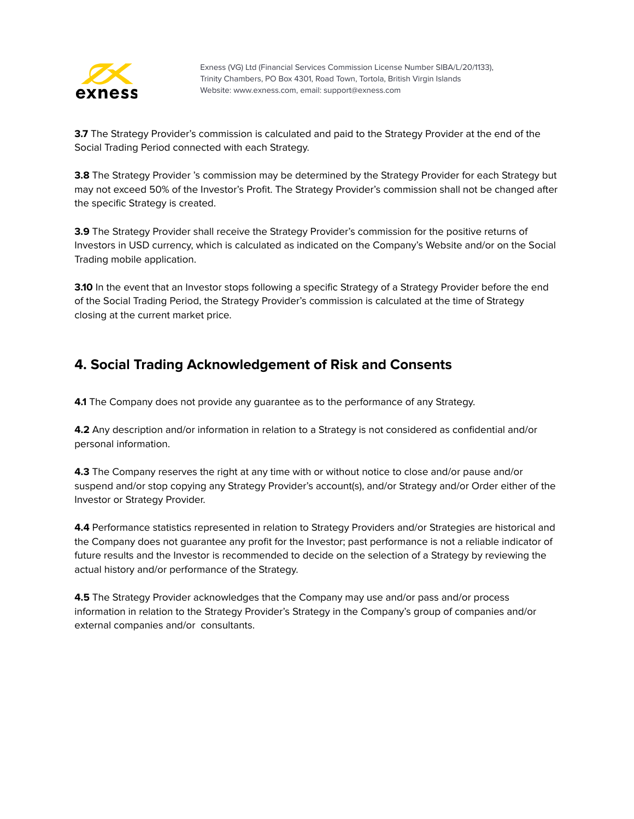

**3.7** The Strategy Provider's commission is calculated and paid to the Strategy Provider at the end of the Social Trading Period connected with each Strategy.

**3.8** The Strategy Provider 's commission may be determined by the Strategy Provider for each Strategy but may not exceed 50% of the Investor's Profit. The Strategy Provider's commission shall not be changed after the specific Strategy is created.

**3.9** The Strategy Provider shall receive the Strategy Provider's commission for the positive returns of Investors in USD currency, which is calculated as indicated on the Company's Website and/or on the Social Trading mobile application.

**3.10** In the event that an Investor stops following a specific Strategy of a Strategy Provider before the end of the Social Trading Period, the Strategy Provider's commission is calculated at the time of Strategy closing at the current market price.

#### <span id="page-49-0"></span>**4. Social Trading Acknowledgement of Risk and Consents**

**4.1** The Company does not provide any guarantee as to the performance of any Strategy.

**4.2** Any description and/or information in relation to a Strategy is not considered as confidential and/or personal information.

**4.3** The Company reserves the right at any time with or without notice to close and/or pause and/or suspend and/or stop copying any Strategy Provider's account(s), and/or Strategy and/or Order either of the Investor or Strategy Provider.

**4.4** Performance statistics represented in relation to Strategy Providers and/or Strategies are historical and the Company does not guarantee any profit for the Investor; past performance is not a reliable indicator of future results and the Investor is recommended to decide on the selection of a Strategy by reviewing the actual history and/or performance of the Strategy.

**4.5** The Strategy Provider acknowledges that the Company may use and/or pass and/or process information in relation to the Strategy Provider's Strategy in the Company's group of companies and/or external companies and/or consultants.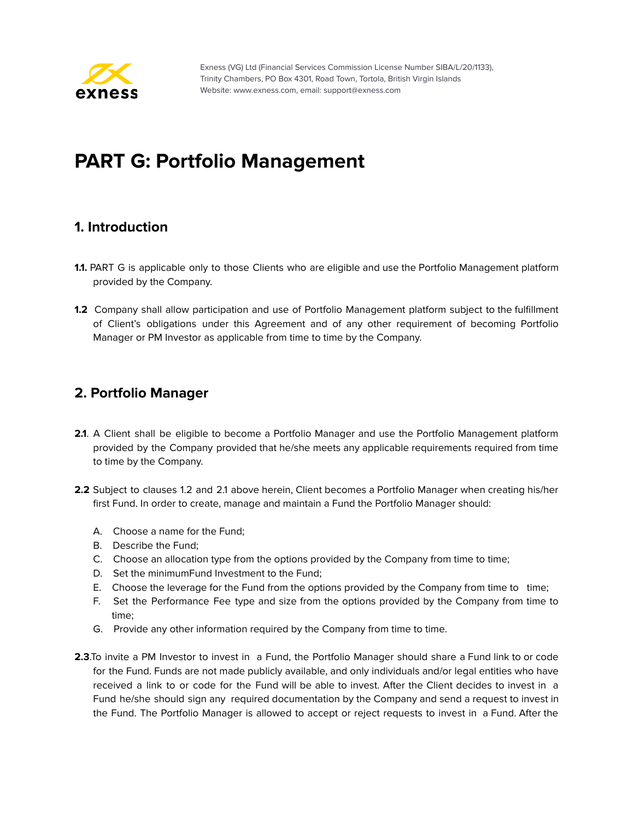

# <span id="page-50-0"></span>**PART G: Portfolio Management**

#### <span id="page-50-1"></span>**1. Introduction**

- **1.1.** PART G is applicable only to those Clients who are eligible and use the Portfolio Management platform provided by the Company.
- **1.2** Company shall allow participation and use of Portfolio Management platform subject to the fulfillment of Client's obligations under this Agreement and of any other requirement of becoming Portfolio Manager or PM Investor as applicable from time to time by the Company.

#### <span id="page-50-2"></span>**2. Portfolio Manager**

- **2.1**. A Client shall be eligible to become a Portfolio Manager and use the Portfolio Management platform provided by the Company provided that he/she meets any applicable requirements required from time to time by the Company.
- **2.2** Subject to clauses 1.2 and 2.1 above herein, Client becomes a Portfolio Manager when creating his/her first Fund. In order to create, manage and maintain a Fund the Portfolio Manager should:
	- A. Choose a name for the Fund;
	- B. Describe the Fund;
	- C. Choose an allocation type from the options provided by the Company from time to time;
	- D. Set the minimumFund Investment to the Fund;
	- E. Choose the leverage for the Fund from the options provided by the Company from time to time;
	- F. Set the Performance Fee type and size from the options provided by the Company from time to time;
	- G. Provide any other information required by the Company from time to time.
- **2.3**.To invite a PM Investor to invest in a Fund, the Portfolio Manager should share a Fund link to or code for the Fund. Funds are not made publicly available, and only individuals and/or legal entities who have received a link to or code for the Fund will be able to invest. After the Client decides to invest in a Fund he/she should sign any required documentation by the Company and send a request to invest in the Fund. The Portfolio Manager is allowed to accept or reject requests to invest in a Fund. After the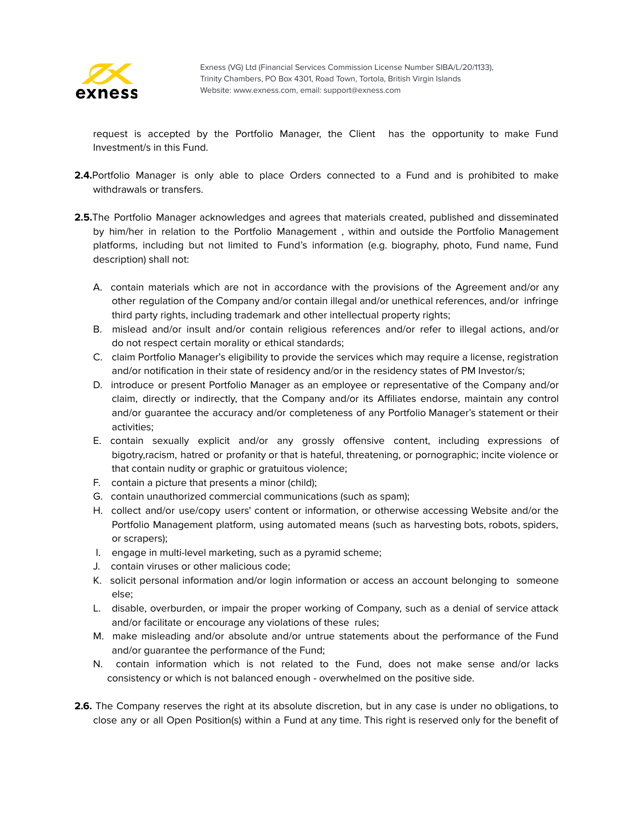

request is accepted by the Portfolio Manager, the Client has the opportunity to make Fund Investment/s in this Fund.

- **2.4.**Portfolio Manager is only able to place Orders connected to a Fund and is prohibited to make withdrawals or transfers.
- **2.5.**The Portfolio Manager acknowledges and agrees that materials created, published and disseminated by him/her in relation to the Portfolio Management , within and outside the Portfolio Management platforms, including but not limited to Fund's information (e.g. biography, photo, Fund name, Fund description) shall not:
	- A. contain materials which are not in accordance with the provisions of the Agreement and/or any other regulation of the Company and/or contain illegal and/or unethical references, and/or infringe third party rights, including trademark and other intellectual property rights;
	- B. mislead and/or insult and/or contain religious references and/or refer to illegal actions, and/or do not respect certain morality or ethical standards;
	- C. claim Portfolio Manager's eligibility to provide the services which may require a license, registration and/or notification in their state of residency and/or in the residency states of PM Investor/s;
	- D. introduce or present Portfolio Manager as an employee or representative of the Company and/or claim, directly or indirectly, that the Company and/or its Affiliates endorse, maintain any control and/or guarantee the accuracy and/or completeness of any Portfolio Manager's statement or their activities;
	- E. contain sexually explicit and/or any grossly offensive content, including expressions of bigotry,racism, hatred or profanity or that is hateful, threatening, or pornographic; incite violence or that contain nudity or graphic or gratuitous violence;
	- F. contain a picture that presents a minor (child);
	- G. contain unauthorized commercial communications (such as spam);
	- H. collect and/or use/copy users' content or information, or otherwise accessing Website and/or the Portfolio Management platform, using automated means (such as harvesting bots, robots, spiders, or scrapers);
	- I. engage in multi-level marketing, such as a pyramid scheme;
	- J. contain viruses or other malicious code;
	- K. solicit personal information and/or login information or access an account belonging to someone else;
	- L. disable, overburden, or impair the proper working of Company, such as a denial of service attack and/or facilitate or encourage any violations of these rules;
	- M. make misleading and/or absolute and/or untrue statements about the performance of the Fund and/or guarantee the performance of the Fund;
	- N. contain information which is not related to the Fund, does not make sense and/or lacks consistency or which is not balanced enough - overwhelmed on the positive side.
- **2.6.** The Company reserves the right at its absolute discretion, but in any case is under no obligations, to close any or all Open Position(s) within a Fund at any time. This right is reserved only for the benefit of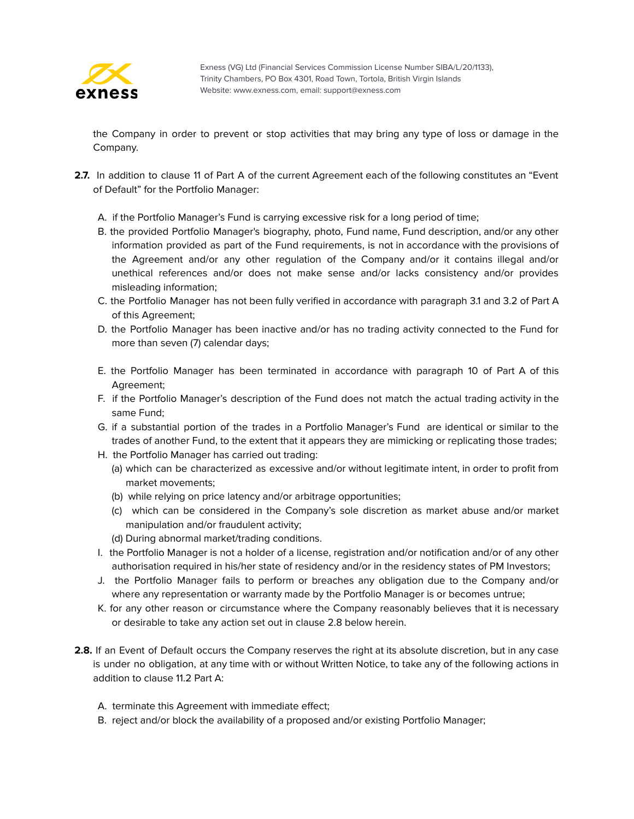

the Company in order to prevent or stop activities that may bring any type of loss or damage in the Company.

- **2.7.** In addition to clause 11 of Part A of the current Agreement each of the following constitutes an "Event of Default" for the Portfolio Manager:
	- A. if the Portfolio Manager's Fund is carrying excessive risk for a long period of time;
	- B. the provided Portfolio Manager's biography, photo, Fund name, Fund description, and/or any other information provided as part of the Fund requirements, is not in accordance with the provisions of the Agreement and/or any other regulation of the Company and/or it contains illegal and/or unethical references and/or does not make sense and/or lacks consistency and/or provides misleading information;
	- C. the Portfolio Manager has not been fully verified in accordance with paragraph 3.1 and 3.2 of Part A of this Agreement;
	- D. the Portfolio Manager has been inactive and/or has no trading activity connected to the Fund for more than seven (7) calendar days;
	- E. the Portfolio Manager has been terminated in accordance with paragraph 10 of Part A of this Agreement;
	- F. if the Portfolio Manager's description of the Fund does not match the actual trading activity in the same Fund;
	- G. if a substantial portion of the trades in a Portfolio Manager's Fund are identical or similar to the trades of another Fund, to the extent that it appears they are mimicking or replicating those trades;
	- H. the Portfolio Manager has carried out trading:
		- (a) which can be characterized as excessive and/or without legitimate intent, in order to profit from market movements;
		- (b) while relying on price latency and/or arbitrage opportunities;
		- (c) which can be considered in the Company's sole discretion as market abuse and/or market manipulation and/or fraudulent activity;
		- (d) During abnormal market/trading conditions.
	- I. the Portfolio Manager is not a holder of a license, registration and/or notification and/or of any other authorisation required in his/her state of residency and/or in the residency states of PM Investors;
	- J. the Portfolio Manager fails to perform or breaches any obligation due to the Company and/or where any representation or warranty made by the Portfolio Manager is or becomes untrue;
	- K. for any other reason or circumstance where the Company reasonably believes that it is necessary or desirable to take any action set out in clause 2.8 below herein.
- **2.8.** If an Event of Default occurs the Company reserves the right at its absolute discretion, but in any case is under no obligation, at any time with or without Written Notice, to take any of the following actions in addition to clause 11.2 Part A:
	- A. terminate this Agreement with immediate effect;
	- B. reject and/or block the availability of a proposed and/or existing Portfolio Manager;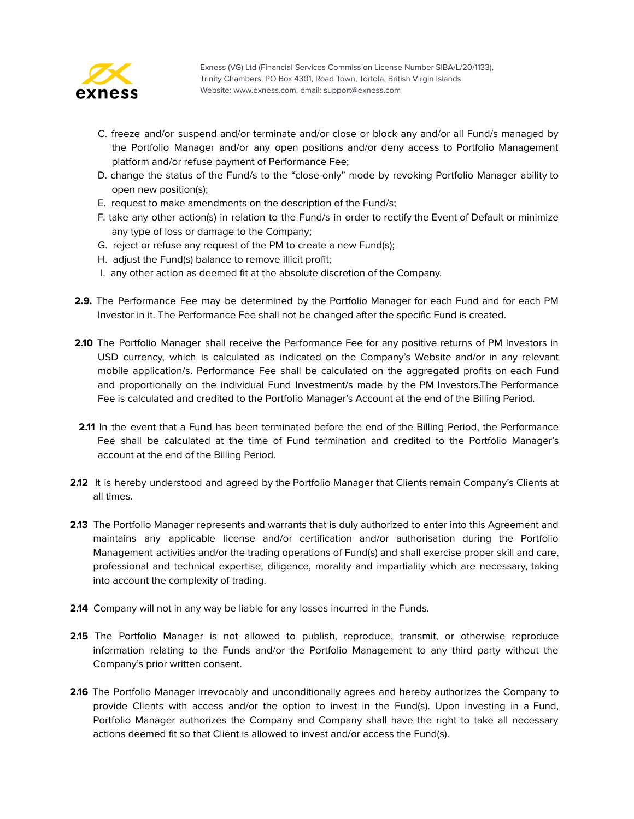

- C. freeze and/or suspend and/or terminate and/or close or block any and/or all Fund/s managed by the Portfolio Manager and/or any open positions and/or deny access to Portfolio Management platform and/or refuse payment of Performance Fee;
- D. change the status of the Fund/s to the "close-only" mode by revoking Portfolio Manager ability to open new position(s);
- E. request to make amendments on the description of the Fund/s;
- F. take any other action(s) in relation to the Fund/s in order to rectify the Event of Default or minimize any type of loss or damage to the Company;
- G. reject or refuse any request of the PM to create a new Fund(s);
- H. adjust the Fund(s) balance to remove illicit profit;
- I. any other action as deemed fit at the absolute discretion of the Company.
- **2.9.** The Performance Fee may be determined by the Portfolio Manager for each Fund and for each PM Investor in it. The Performance Fee shall not be changed after the specific Fund is created.
- **2.10** The Portfolio Manager shall receive the Performance Fee for any positive returns of PM Investors in USD currency, which is calculated as indicated on the Company's Website and/or in any relevant mobile application/s. Performance Fee shall be calculated on the aggregated profits on each Fund and proportionally on the individual Fund Investment/s made by the PM Investors.The Performance Fee is calculated and credited to the Portfolio Manager's Account at the end of the Billing Period.
- 2.11 In the event that a Fund has been terminated before the end of the Billing Period, the Performance Fee shall be calculated at the time of Fund termination and credited to the Portfolio Manager's account at the end of the Billing Period.
- **2.12** It is hereby understood and agreed by the Portfolio Manager that Clients remain Company's Clients at all times.
- **2.13** The Portfolio Manager represents and warrants that is duly authorized to enter into this Agreement and maintains any applicable license and/or certification and/or authorisation during the Portfolio Management activities and/or the trading operations of Fund(s) and shall exercise proper skill and care, professional and technical expertise, diligence, morality and impartiality which are necessary, taking into account the complexity of trading.
- **2.14** Company will not in any way be liable for any losses incurred in the Funds.
- 2.15 The Portfolio Manager is not allowed to publish, reproduce, transmit, or otherwise reproduce information relating to the Funds and/or the Portfolio Management to any third party without the Company's prior written consent.
- **2.16** The Portfolio Manager irrevocably and unconditionally agrees and hereby authorizes the Company to provide Clients with access and/or the option to invest in the Fund(s). Upon investing in a Fund, Portfolio Manager authorizes the Company and Company shall have the right to take all necessary actions deemed fit so that Client is allowed to invest and/or access the Fund(s).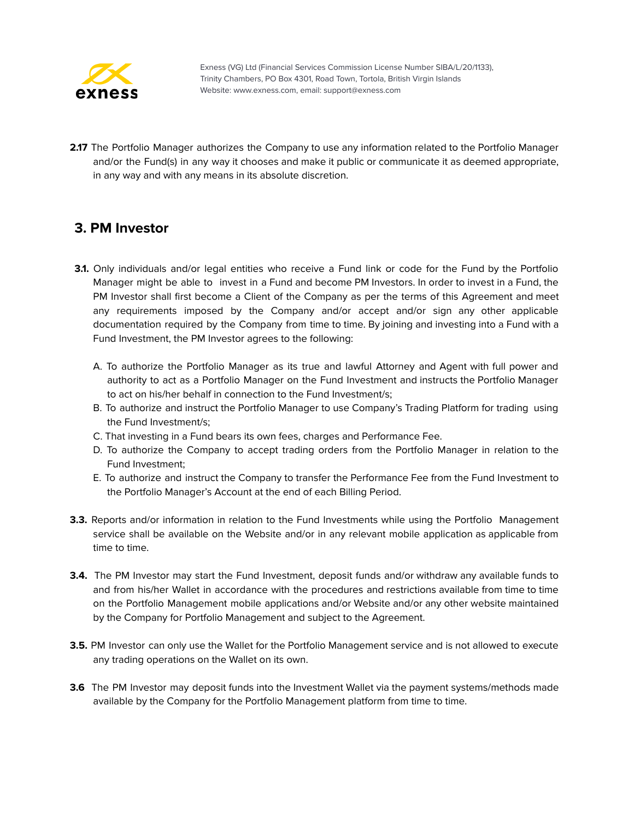

2.17 The Portfolio Manager authorizes the Company to use any information related to the Portfolio Manager and/or the Fund(s) in any way it chooses and make it public or communicate it as deemed appropriate, in any way and with any means in its absolute discretion.

#### <span id="page-54-0"></span>**3. PM Investor**

- **3.1.** Only individuals and/or legal entities who receive a Fund link or code for the Fund by the Portfolio Manager might be able to invest in a Fund and become PM Investors. In order to invest in a Fund, the PM Investor shall first become a Client of the Company as per the terms of this Agreement and meet any requirements imposed by the Company and/or accept and/or sign any other applicable documentation required by the Company from time to time. By joining and investing into a Fund with a Fund Investment, the PM Investor agrees to the following:
	- A. To authorize the Portfolio Manager as its true and lawful Attorney and Agent with full power and authority to act as a Portfolio Manager on the Fund Investment and instructs the Portfolio Manager to act on his/her behalf in connection to the Fund Investment/s;
	- B. To authorize and instruct the Portfolio Manager to use Company's Trading Platform for trading using the Fund Investment/s;
	- C. That investing in a Fund bears its own fees, charges and Performance Fee.
	- D. To authorize the Company to accept trading orders from the Portfolio Manager in relation to the Fund Investment;
	- E. To authorize and instruct the Company to transfer the Performance Fee from the Fund Investment to the Portfolio Manager's Account at the end of each Billing Period.
- **3.3.** Reports and/or information in relation to the Fund Investments while using the Portfolio Management service shall be available on the Website and/or in any relevant mobile application as applicable from time to time.
- **3.4.** The PM Investor may start the Fund Investment, deposit funds and/or withdraw any available funds to and from his/her Wallet in accordance with the procedures and restrictions available from time to time on the Portfolio Management mobile applications and/or Website and/or any other website maintained by the Company for Portfolio Management and subject to the Agreement.
- **3.5.** PM Investor can only use the Wallet for the Portfolio Management service and is not allowed to execute any trading operations on the Wallet on its own.
- **3.6** The PM Investor may deposit funds into the Investment Wallet via the payment systems/methods made available by the Company for the Portfolio Management platform from time to time.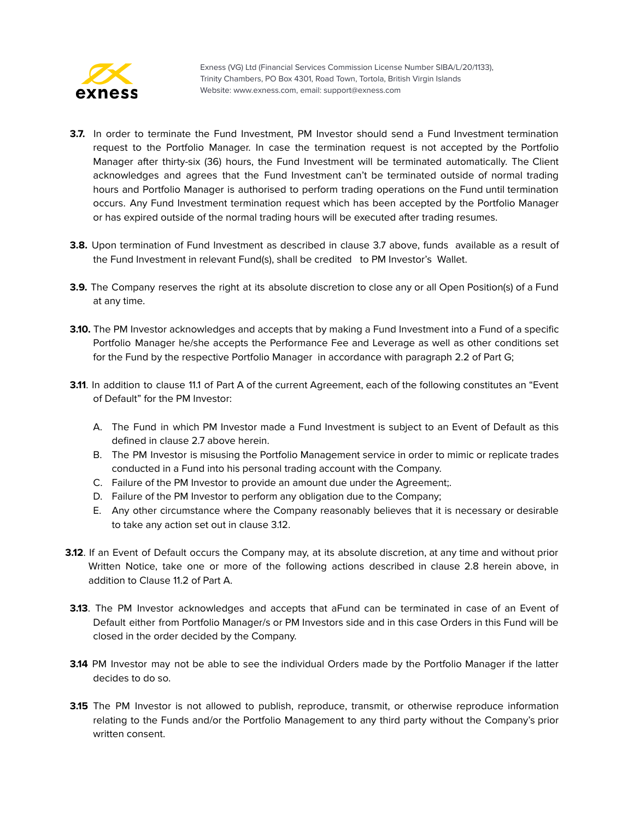

- **3.7.** In order to terminate the Fund Investment, PM Investor should send a Fund Investment termination request to the Portfolio Manager. In case the termination request is not accepted by the Portfolio Manager after thirty-six (36) hours, the Fund Investment will be terminated automatically. The Client acknowledges and agrees that the Fund Investment can't be terminated outside of normal trading hours and Portfolio Manager is authorised to perform trading operations on the Fund until termination occurs. Any Fund Investment termination request which has been accepted by the Portfolio Manager or has expired outside of the normal trading hours will be executed after trading resumes.
- **3.8.** Upon termination of Fund Investment as described in clause 3.7 above, funds available as a result of the Fund Investment in relevant Fund(s), shall be credited to PM Investor's Wallet.
- **3.9.** The Company reserves the right at its absolute discretion to close any or all Open Position(s) of a Fund at any time.
- **3.10.** The PM Investor acknowledges and accepts that by making a Fund Investment into a Fund of a specific Portfolio Manager he/she accepts the Performance Fee and Leverage as well as other conditions set for the Fund by the respective Portfolio Manager in accordance with paragraph 2.2 of Part G;
- **3.11**. In addition to clause 11.1 of Part A of the current Agreement, each of the following constitutes an "Event of Default" for the PM Investor:
	- A. The Fund in which PM Investor made a Fund Investment is subject to an Event of Default as this defined in clause 2.7 above herein.
	- B. The PM Investor is misusing the Portfolio Management service in order to mimic or replicate trades conducted in a Fund into his personal trading account with the Company.
	- C. Failure of the PM Investor to provide an amount due under the Agreement;.
	- D. Failure of the PM Investor to perform any obligation due to the Company;
	- E. Any other circumstance where the Company reasonably believes that it is necessary or desirable to take any action set out in clause 3.12.
- **3.12**. If an Event of Default occurs the Company may, at its absolute discretion, at any time and without prior Written Notice, take one or more of the following actions described in clause 2.8 herein above, in addition to Clause 11.2 of Part A.
- **3.13**. The PM Investor acknowledges and accepts that aFund can be terminated in case of an Event of Default either from Portfolio Manager/s or PM Investors side and in this case Orders in this Fund will be closed in the order decided by the Company.
- **3.14** PM Investor may not be able to see the individual Orders made by the Portfolio Manager if the latter decides to do so.
- **3.15** The PM Investor is not allowed to publish, reproduce, transmit, or otherwise reproduce information relating to the Funds and/or the Portfolio Management to any third party without the Company's prior written consent.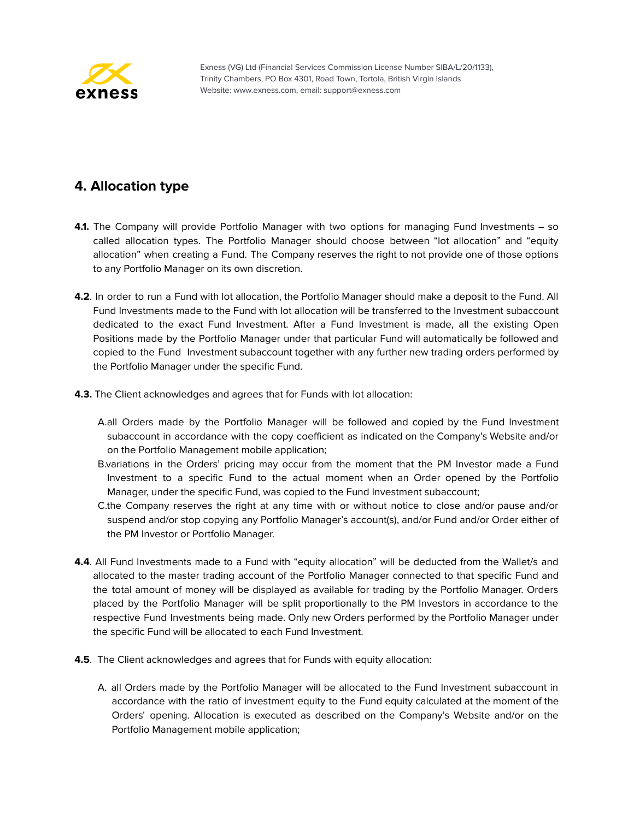

#### <span id="page-56-0"></span>**4. Allocation type**

- **4.1.** The Company will provide Portfolio Manager with two options for managing Fund Investments so called allocation types. The Portfolio Manager should choose between "lot allocation" and "equity allocation" when creating a Fund. The Company reserves the right to not provide one of those options to any Portfolio Manager on its own discretion.
- **4.2**. In order to run a Fund with lot allocation, the Portfolio Manager should make a deposit to the Fund. All Fund Investments made to the Fund with lot allocation will be transferred to the Investment subaccount dedicated to the exact Fund Investment. After a Fund Investment is made, all the existing Open Positions made by the Portfolio Manager under that particular Fund will automatically be followed and copied to the Fund Investment subaccount together with any further new trading orders performed by the Portfolio Manager under the specific Fund.
- **4.3.** The Client acknowledges and agrees that for Funds with lot allocation:
	- A.all Orders made by the Portfolio Manager will be followed and copied by the Fund Investment subaccount in accordance with the copy coefficient as indicated on the Company's Website and/or on the Portfolio Management mobile application;
	- B.variations in the Orders' pricing may occur from the moment that the PM Investor made a Fund Investment to a specific Fund to the actual moment when an Order opened by the Portfolio Manager, under the specific Fund, was copied to the Fund Investment subaccount;
	- C.the Company reserves the right at any time with or without notice to close and/or pause and/or suspend and/or stop copying any Portfolio Manager's account(s), and/or Fund and/or Order either of the PM Investor or Portfolio Manager.
- **4.4**. All Fund Investments made to a Fund with "equity allocation" will be deducted from the Wallet/s and allocated to the master trading account of the Portfolio Manager connected to that specific Fund and the total amount of money will be displayed as available for trading by the Portfolio Manager. Orders placed by the Portfolio Manager will be split proportionally to the PM Investors in accordance to the respective Fund Investments being made. Only new Orders performed by the Portfolio Manager under the specific Fund will be allocated to each Fund Investment.
- **4.5**. The Client acknowledges and agrees that for Funds with equity allocation:
	- A. all Orders made by the Portfolio Manager will be allocated to the Fund Investment subaccount in accordance with the ratio of investment equity to the Fund equity calculated at the moment of the Orders' opening. Allocation is executed as described on the Company's Website and/or on the Portfolio Management mobile application;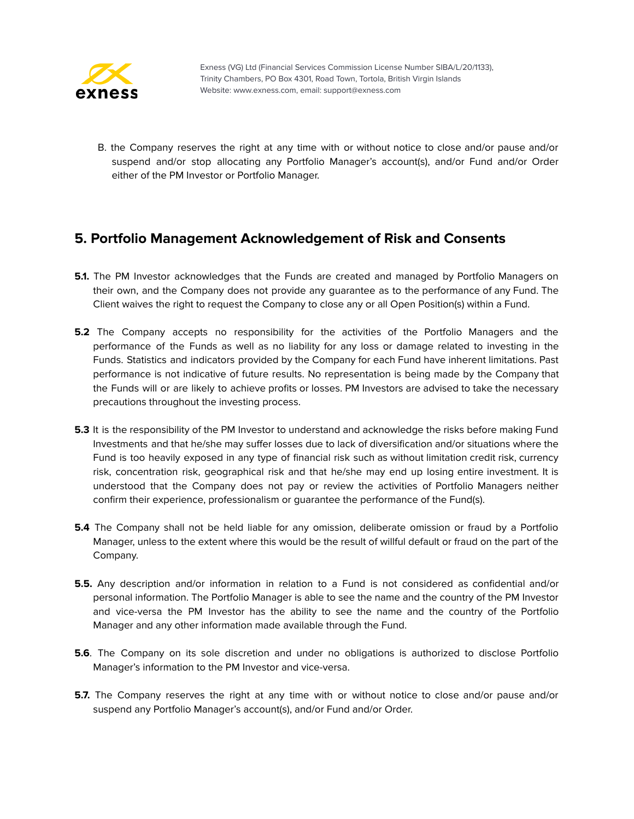

B. the Company reserves the right at any time with or without notice to close and/or pause and/or suspend and/or stop allocating any Portfolio Manager's account(s), and/or Fund and/or Order either of the PM Investor or Portfolio Manager.

#### <span id="page-57-0"></span>**5. Portfolio Management Acknowledgement of Risk and Consents**

- **5.1.** The PM Investor acknowledges that the Funds are created and managed by Portfolio Managers on their own, and the Company does not provide any guarantee as to the performance of any Fund. The Client waives the right to request the Company to close any or all Open Position(s) within a Fund.
- **5.2** The Company accepts no responsibility for the activities of the Portfolio Managers and the performance of the Funds as well as no liability for any loss or damage related to investing in the Funds. Statistics and indicators provided by the Company for each Fund have inherent limitations. Past performance is not indicative of future results. No representation is being made by the Company that the Funds will or are likely to achieve profits or losses. PM Investors are advised to take the necessary precautions throughout the investing process.
- **5.3** It is the responsibility of the PM Investor to understand and acknowledge the risks before making Fund Investments and that he/she may suffer losses due to lack of diversification and/or situations where the Fund is too heavily exposed in any type of financial risk such as without limitation credit risk, currency risk, concentration risk, geographical risk and that he/she may end up losing entire investment. It is understood that the Company does not pay or review the activities of Portfolio Managers neither confirm their experience, professionalism or guarantee the performance of the Fund(s).
- **5.4** The Company shall not be held liable for any omission, deliberate omission or fraud by a Portfolio Manager, unless to the extent where this would be the result of willful default or fraud on the part of the Company.
- **5.5.** Any description and/or information in relation to a Fund is not considered as confidential and/or personal information. The Portfolio Manager is able to see the name and the country of the PM Investor and vice-versa the PM Investor has the ability to see the name and the country of the Portfolio Manager and any other information made available through the Fund.
- **5.6**. The Company on its sole discretion and under no obligations is authorized to disclose Portfolio Manager's information to the PM Investor and vice-versa.
- **5.7.** The Company reserves the right at any time with or without notice to close and/or pause and/or suspend any Portfolio Manager's account(s), and/or Fund and/or Order.